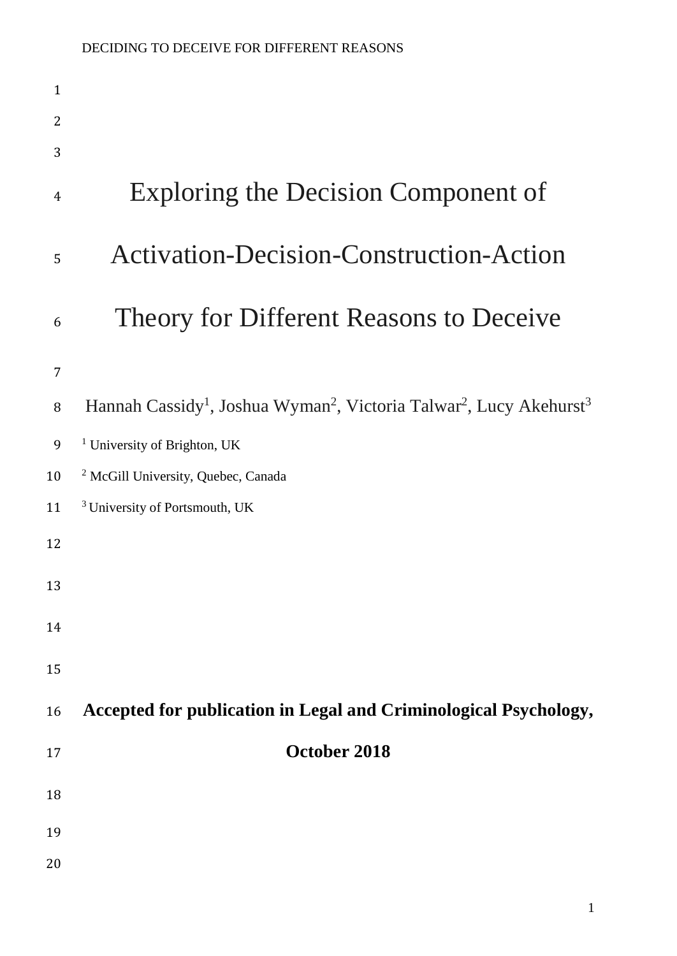| $\mathbf{1}$   |                                                                                                                     |
|----------------|---------------------------------------------------------------------------------------------------------------------|
| 2              |                                                                                                                     |
| 3              |                                                                                                                     |
| $\overline{4}$ | Exploring the Decision Component of                                                                                 |
| 5              | <b>Activation-Decision-Construction-Action</b>                                                                      |
| 6              | Theory for Different Reasons to Deceive                                                                             |
| $\overline{7}$ |                                                                                                                     |
| $\, 8$         | Hannah Cassidy <sup>1</sup> , Joshua Wyman <sup>2</sup> , Victoria Talwar <sup>2</sup> , Lucy Akehurst <sup>3</sup> |
| 9              | <sup>1</sup> University of Brighton, UK                                                                             |
| 10             | <sup>2</sup> McGill University, Quebec, Canada                                                                      |
| 11             | <sup>3</sup> University of Portsmouth, UK                                                                           |
| 12             |                                                                                                                     |
| 13             |                                                                                                                     |
| 14             |                                                                                                                     |
| 15             |                                                                                                                     |
| 16             | Accepted for publication in Legal and Criminological Psychology,                                                    |
| 17             | October 2018                                                                                                        |
| 18             |                                                                                                                     |
| 19             |                                                                                                                     |
| 20             |                                                                                                                     |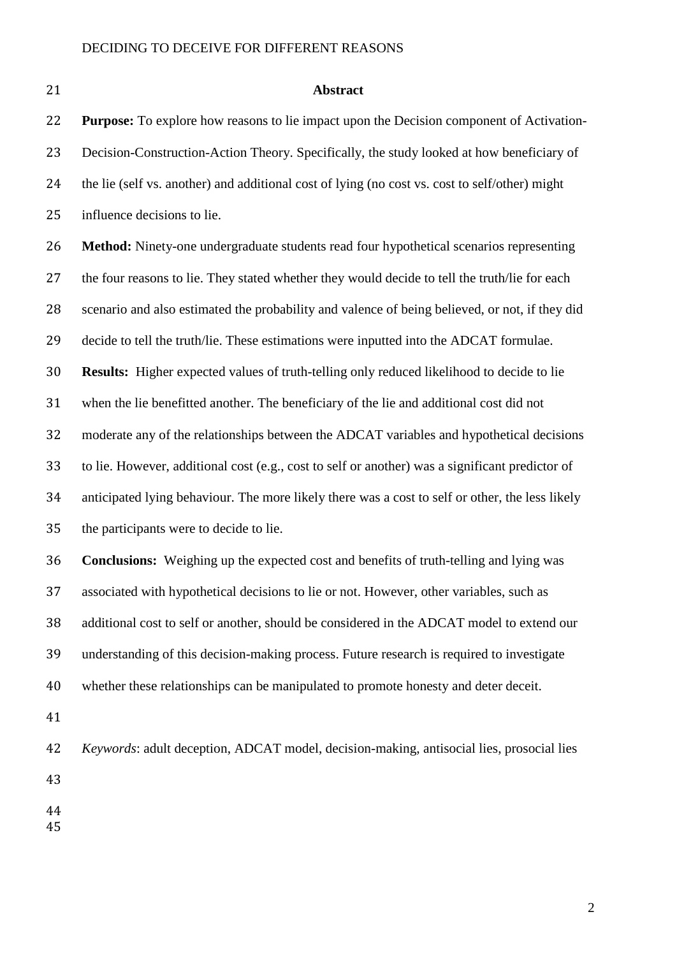#### **Abstract**

 **Purpose:** To explore how reasons to lie impact upon the Decision component of Activation- Decision-Construction-Action Theory. Specifically, the study looked at how beneficiary of the lie (self vs. another) and additional cost of lying (no cost vs. cost to self/other) might influence decisions to lie.

 **Method:** Ninety-one undergraduate students read four hypothetical scenarios representing 27 the four reasons to lie. They stated whether they would decide to tell the truth/lie for each scenario and also estimated the probability and valence of being believed, or not, if they did decide to tell the truth/lie. These estimations were inputted into the ADCAT formulae. **Results:** Higher expected values of truth-telling only reduced likelihood to decide to lie when the lie benefitted another. The beneficiary of the lie and additional cost did not moderate any of the relationships between the ADCAT variables and hypothetical decisions to lie. However, additional cost (e.g., cost to self or another) was a significant predictor of anticipated lying behaviour. The more likely there was a cost to self or other, the less likely the participants were to decide to lie.

 **Conclusions:** Weighing up the expected cost and benefits of truth-telling and lying was associated with hypothetical decisions to lie or not. However, other variables, such as additional cost to self or another, should be considered in the ADCAT model to extend our understanding of this decision-making process. Future research is required to investigate whether these relationships can be manipulated to promote honesty and deter deceit.

 *Keywords*: adult deception, ADCAT model, decision-making, antisocial lies, prosocial lies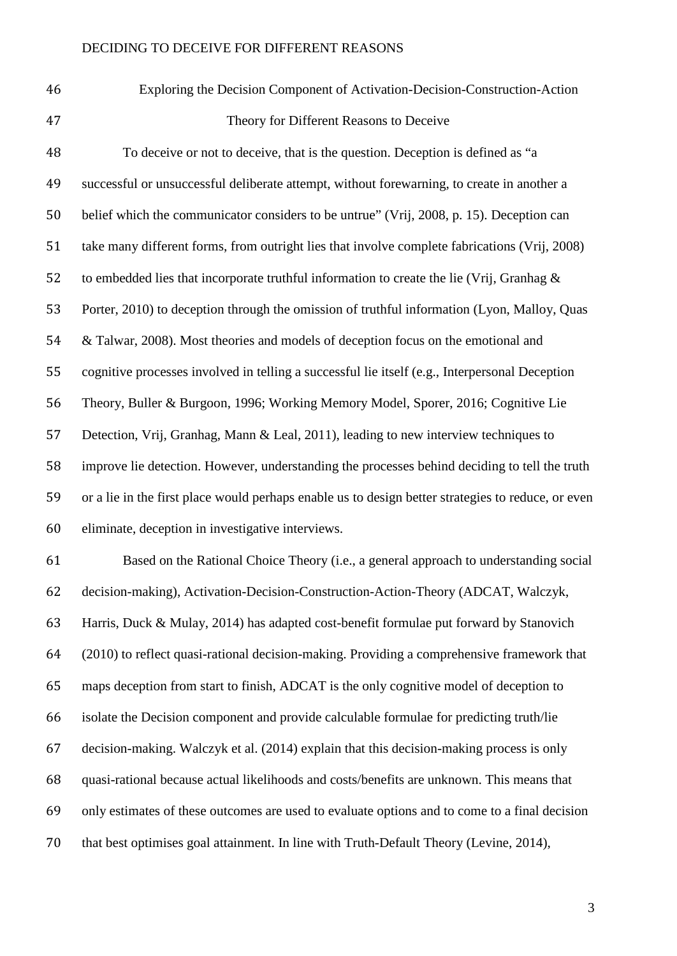Exploring the Decision Component of Activation-Decision-Construction-Action Theory for Different Reasons to Deceive

 To deceive or not to deceive, that is the question. Deception is defined as "a successful or unsuccessful deliberate attempt, without forewarning, to create in another a belief which the communicator considers to be untrue" (Vrij, 2008, p. 15). Deception can take many different forms, from outright lies that involve complete fabrications (Vrij, 2008) 52 to embedded lies that incorporate truthful information to create the lie (Vrij, Granhag  $\&$  Porter, 2010) to deception through the omission of truthful information (Lyon, Malloy, Quas & Talwar, 2008). Most theories and models of deception focus on the emotional and cognitive processes involved in telling a successful lie itself (e.g., Interpersonal Deception Theory, Buller & Burgoon, 1996; Working Memory Model, Sporer, 2016; Cognitive Lie Detection, Vrij, Granhag, Mann & Leal, 2011), leading to new interview techniques to improve lie detection. However, understanding the processes behind deciding to tell the truth or a lie in the first place would perhaps enable us to design better strategies to reduce, or even eliminate, deception in investigative interviews.

 Based on the Rational Choice Theory (i.e., a general approach to understanding social decision-making), Activation-Decision-Construction-Action-Theory (ADCAT, Walczyk, Harris, Duck & Mulay, 2014) has adapted cost-benefit formulae put forward by Stanovich (2010) to reflect quasi-rational decision-making. Providing a comprehensive framework that maps deception from start to finish, ADCAT is the only cognitive model of deception to isolate the Decision component and provide calculable formulae for predicting truth/lie decision-making. Walczyk et al. (2014) explain that this decision-making process is only quasi-rational because actual likelihoods and costs/benefits are unknown. This means that only estimates of these outcomes are used to evaluate options and to come to a final decision that best optimises goal attainment. In line with Truth-Default Theory (Levine, 2014),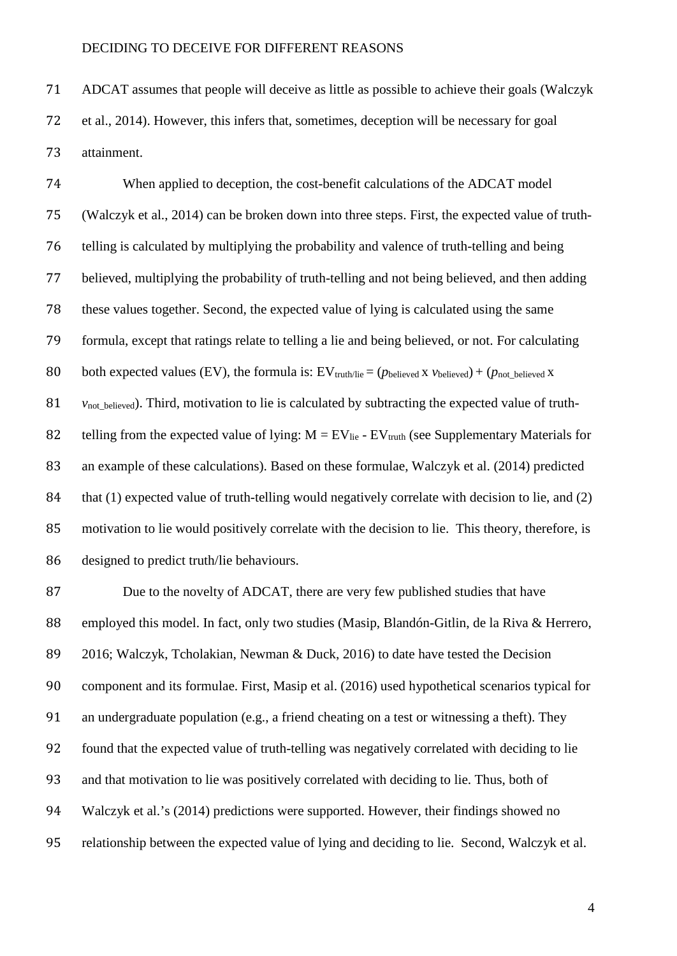ADCAT assumes that people will deceive as little as possible to achieve their goals (Walczyk et al., 2014). However, this infers that, sometimes, deception will be necessary for goal attainment.

 When applied to deception, the cost-benefit calculations of the ADCAT model (Walczyk et al., 2014) can be broken down into three steps. First, the expected value of truth- telling is calculated by multiplying the probability and valence of truth-telling and being believed, multiplying the probability of truth-telling and not being believed, and then adding these values together. Second, the expected value of lying is calculated using the same formula, except that ratings relate to telling a lie and being believed, or not. For calculating 80 both expected values (EV), the formula is:  $EV_{truth/lie} = (p_{\text{believed}} \times v_{\text{believed}}) + (p_{\text{not believed}} \times v_{\text{believed}})$  *v*<sub>not believed</sub>). Third, motivation to lie is calculated by subtracting the expected value of truth-82 telling from the expected value of lying:  $M = EV_{lie} - EV_{truth}$  (see Supplementary Materials for an example of these calculations). Based on these formulae, Walczyk et al. (2014) predicted 84 that (1) expected value of truth-telling would negatively correlate with decision to lie, and (2) motivation to lie would positively correlate with the decision to lie. This theory, therefore, is designed to predict truth/lie behaviours.

 Due to the novelty of ADCAT, there are very few published studies that have employed this model. In fact, only two studies (Masip, Blandón-Gitlin, de la Riva & Herrero, 2016; Walczyk, Tcholakian, Newman & Duck, 2016) to date have tested the Decision component and its formulae. First, Masip et al. (2016) used hypothetical scenarios typical for an undergraduate population (e.g., a friend cheating on a test or witnessing a theft). They found that the expected value of truth-telling was negatively correlated with deciding to lie and that motivation to lie was positively correlated with deciding to lie. Thus, both of Walczyk et al.'s (2014) predictions were supported. However, their findings showed no relationship between the expected value of lying and deciding to lie. Second, Walczyk et al.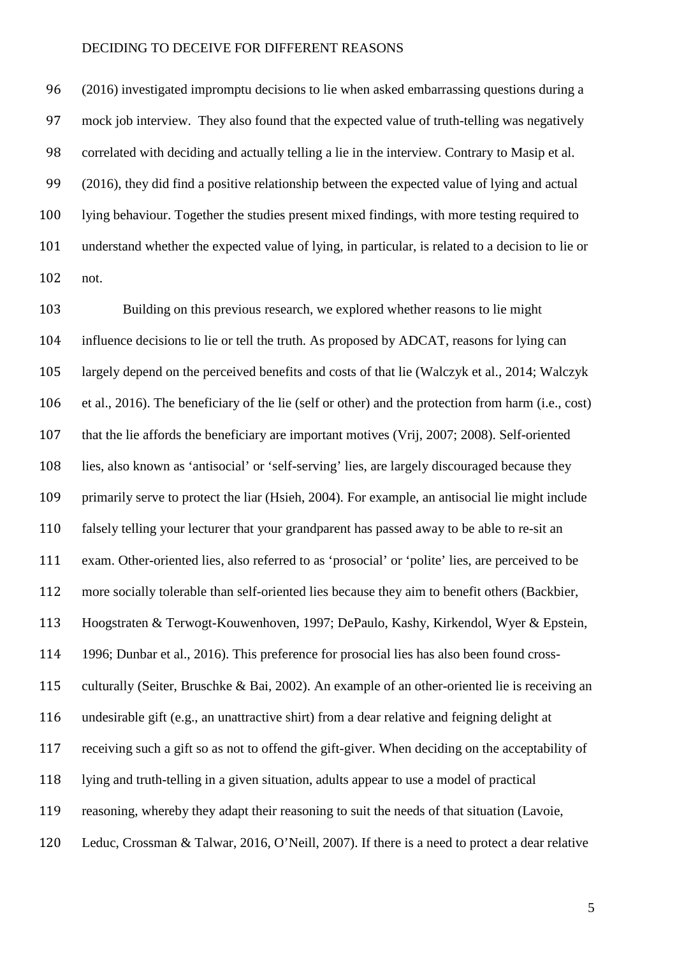(2016) investigated impromptu decisions to lie when asked embarrassing questions during a mock job interview. They also found that the expected value of truth-telling was negatively correlated with deciding and actually telling a lie in the interview. Contrary to Masip et al. (2016), they did find a positive relationship between the expected value of lying and actual lying behaviour. Together the studies present mixed findings, with more testing required to understand whether the expected value of lying, in particular, is related to a decision to lie or not.

 Building on this previous research, we explored whether reasons to lie might influence decisions to lie or tell the truth. As proposed by ADCAT, reasons for lying can largely depend on the perceived benefits and costs of that lie (Walczyk et al., 2014; Walczyk et al., 2016). The beneficiary of the lie (self or other) and the protection from harm (i.e., cost) that the lie affords the beneficiary are important motives (Vrij, 2007; 2008). Self-oriented lies, also known as 'antisocial' or 'self-serving' lies, are largely discouraged because they primarily serve to protect the liar (Hsieh, 2004). For example, an antisocial lie might include falsely telling your lecturer that your grandparent has passed away to be able to re-sit an exam. Other-oriented lies, also referred to as 'prosocial' or 'polite' lies, are perceived to be more socially tolerable than self-oriented lies because they aim to benefit others (Backbier, Hoogstraten & Terwogt-Kouwenhoven, 1997; DePaulo, Kashy, Kirkendol, Wyer & Epstein, 1996; Dunbar et al., 2016). This preference for prosocial lies has also been found cross- culturally (Seiter, Bruschke & Bai, 2002). An example of an other-oriented lie is receiving an undesirable gift (e.g., an unattractive shirt) from a dear relative and feigning delight at receiving such a gift so as not to offend the gift-giver. When deciding on the acceptability of lying and truth-telling in a given situation, adults appear to use a model of practical reasoning, whereby they adapt their reasoning to suit the needs of that situation (Lavoie, Leduc, Crossman & Talwar, 2016, O'Neill, 2007). If there is a need to protect a dear relative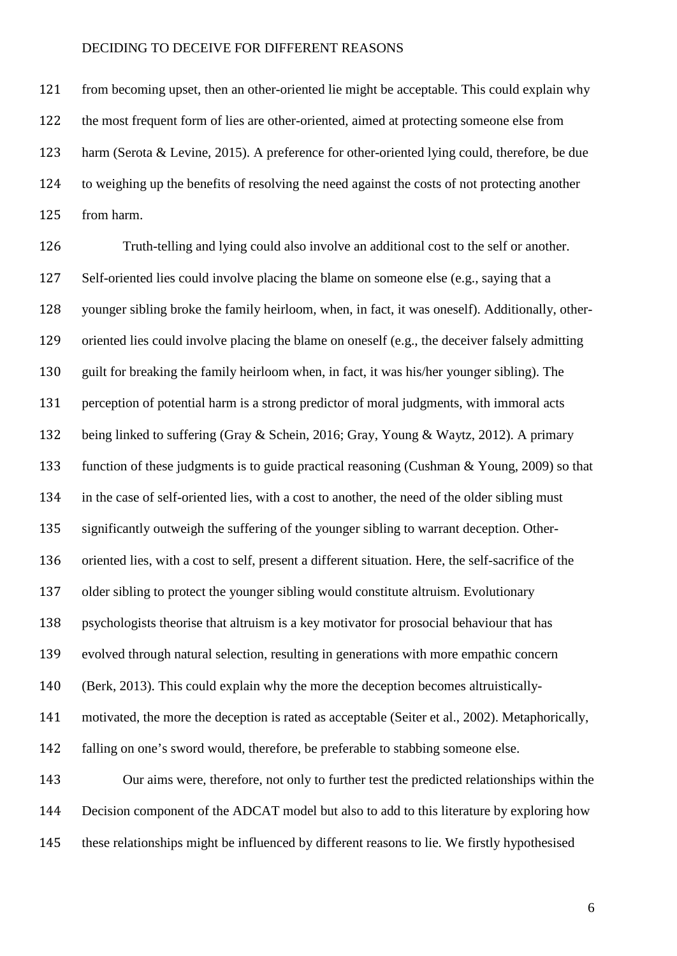from becoming upset, then an other-oriented lie might be acceptable. This could explain why the most frequent form of lies are other-oriented, aimed at protecting someone else from harm (Serota & Levine, 2015). A preference for other-oriented lying could, therefore, be due to weighing up the benefits of resolving the need against the costs of not protecting another from harm.

 Truth-telling and lying could also involve an additional cost to the self or another. Self-oriented lies could involve placing the blame on someone else (e.g., saying that a younger sibling broke the family heirloom, when, in fact, it was oneself). Additionally, other- oriented lies could involve placing the blame on oneself (e.g., the deceiver falsely admitting guilt for breaking the family heirloom when, in fact, it was his/her younger sibling). The perception of potential harm is a strong predictor of moral judgments, with immoral acts being linked to suffering (Gray & Schein, 2016; Gray, Young & Waytz, 2012). A primary function of these judgments is to guide practical reasoning (Cushman & Young, 2009) so that in the case of self-oriented lies, with a cost to another, the need of the older sibling must significantly outweigh the suffering of the younger sibling to warrant deception. Other- oriented lies, with a cost to self, present a different situation. Here, the self-sacrifice of the older sibling to protect the younger sibling would constitute altruism. Evolutionary psychologists theorise that altruism is a key motivator for prosocial behaviour that has evolved through natural selection, resulting in generations with more empathic concern (Berk, 2013). This could explain why the more the deception becomes altruistically- motivated, the more the deception is rated as acceptable (Seiter et al., 2002). Metaphorically, falling on one's sword would, therefore, be preferable to stabbing someone else. Our aims were, therefore, not only to further test the predicted relationships within the Decision component of the ADCAT model but also to add to this literature by exploring how these relationships might be influenced by different reasons to lie. We firstly hypothesised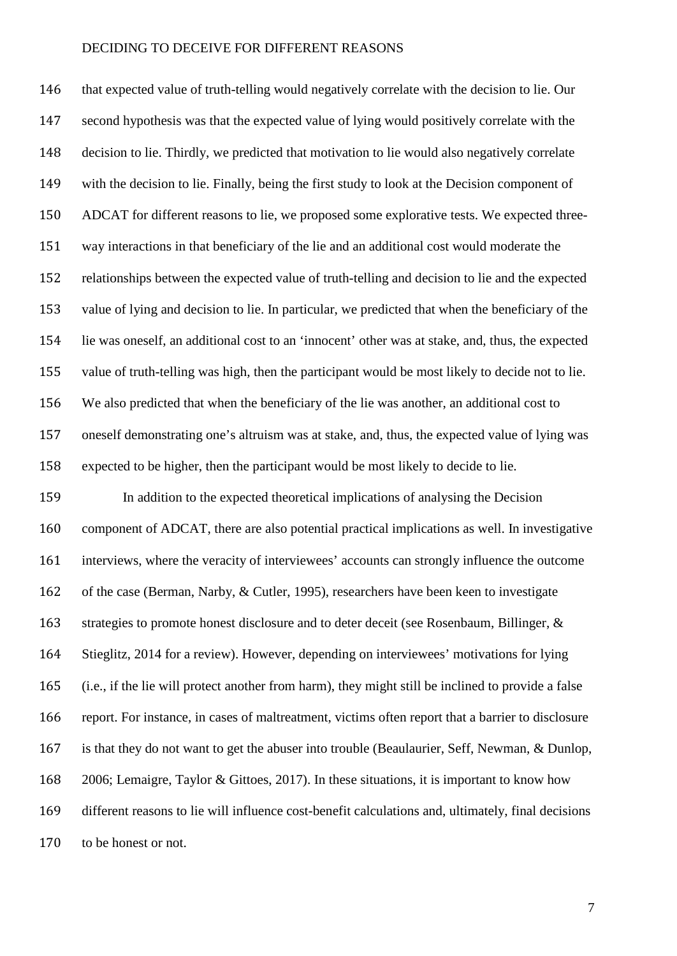that expected value of truth-telling would negatively correlate with the decision to lie. Our second hypothesis was that the expected value of lying would positively correlate with the decision to lie. Thirdly, we predicted that motivation to lie would also negatively correlate with the decision to lie. Finally, being the first study to look at the Decision component of ADCAT for different reasons to lie, we proposed some explorative tests. We expected three- way interactions in that beneficiary of the lie and an additional cost would moderate the relationships between the expected value of truth-telling and decision to lie and the expected value of lying and decision to lie. In particular, we predicted that when the beneficiary of the lie was oneself, an additional cost to an 'innocent' other was at stake, and, thus, the expected value of truth-telling was high, then the participant would be most likely to decide not to lie. We also predicted that when the beneficiary of the lie was another, an additional cost to oneself demonstrating one's altruism was at stake, and, thus, the expected value of lying was expected to be higher, then the participant would be most likely to decide to lie. In addition to the expected theoretical implications of analysing the Decision component of ADCAT, there are also potential practical implications as well. In investigative interviews, where the veracity of interviewees' accounts can strongly influence the outcome of the case (Berman, Narby, & Cutler, 1995), researchers have been keen to investigate 163 strategies to promote honest disclosure and to deter deceit (see Rosenbaum, Billinger, & Stieglitz, 2014 for a review). However, depending on interviewees' motivations for lying (i.e., if the lie will protect another from harm), they might still be inclined to provide a false report. For instance, in cases of maltreatment, victims often report that a barrier to disclosure is that they do not want to get the abuser into trouble (Beaulaurier, Seff, Newman, & Dunlop, 2006; Lemaigre, Taylor & Gittoes, 2017). In these situations, it is important to know how different reasons to lie will influence cost-benefit calculations and, ultimately, final decisions

to be honest or not.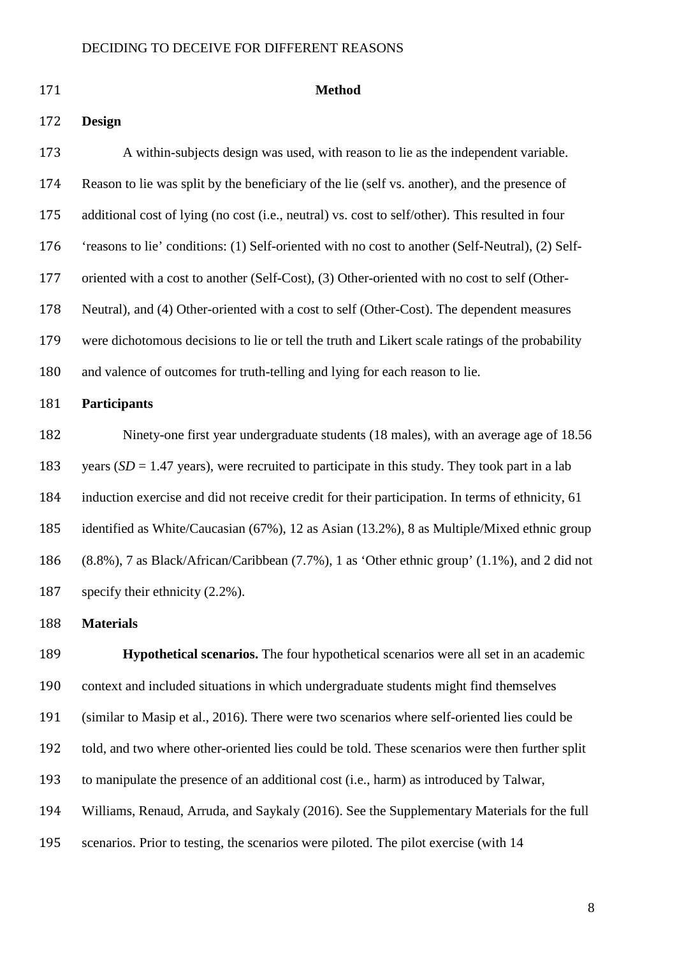### **Design**

#### **Method**

 A within-subjects design was used, with reason to lie as the independent variable. Reason to lie was split by the beneficiary of the lie (self vs. another), and the presence of additional cost of lying (no cost (i.e., neutral) vs. cost to self/other). This resulted in four 'reasons to lie' conditions: (1) Self-oriented with no cost to another (Self-Neutral), (2) Self- oriented with a cost to another (Self-Cost), (3) Other-oriented with no cost to self (Other- Neutral), and (4) Other-oriented with a cost to self (Other-Cost). The dependent measures were dichotomous decisions to lie or tell the truth and Likert scale ratings of the probability and valence of outcomes for truth-telling and lying for each reason to lie. **Participants**

 Ninety-one first year undergraduate students (18 males), with an average age of 18.56 183 years (*SD* = 1.47 years), were recruited to participate in this study. They took part in a lab induction exercise and did not receive credit for their participation. In terms of ethnicity, 61 identified as White/Caucasian (67%), 12 as Asian (13.2%), 8 as Multiple/Mixed ethnic group (8.8%), 7 as Black/African/Caribbean (7.7%), 1 as 'Other ethnic group' (1.1%), and 2 did not specify their ethnicity (2.2%).

### **Materials**

 **Hypothetical scenarios.** The four hypothetical scenarios were all set in an academic context and included situations in which undergraduate students might find themselves (similar to Masip et al., 2016). There were two scenarios where self-oriented lies could be told, and two where other-oriented lies could be told. These scenarios were then further split to manipulate the presence of an additional cost (i.e., harm) as introduced by Talwar, Williams, Renaud, Arruda, and Saykaly (2016). See the Supplementary Materials for the full scenarios. Prior to testing, the scenarios were piloted. The pilot exercise (with 14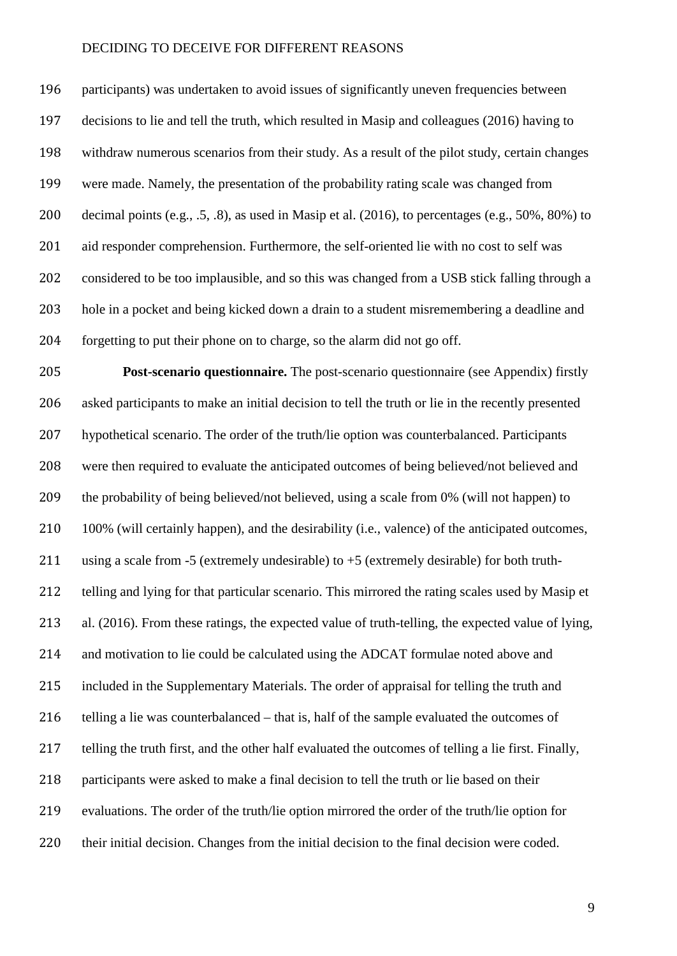participants) was undertaken to avoid issues of significantly uneven frequencies between decisions to lie and tell the truth, which resulted in Masip and colleagues (2016) having to withdraw numerous scenarios from their study. As a result of the pilot study, certain changes were made. Namely, the presentation of the probability rating scale was changed from decimal points (e.g., .5, .8), as used in Masip et al. (2016), to percentages (e.g., 50%, 80%) to aid responder comprehension. Furthermore, the self-oriented lie with no cost to self was considered to be too implausible, and so this was changed from a USB stick falling through a hole in a pocket and being kicked down a drain to a student misremembering a deadline and forgetting to put their phone on to charge, so the alarm did not go off.

 **Post-scenario questionnaire.** The post-scenario questionnaire (see Appendix) firstly asked participants to make an initial decision to tell the truth or lie in the recently presented hypothetical scenario. The order of the truth/lie option was counterbalanced. Participants were then required to evaluate the anticipated outcomes of being believed/not believed and the probability of being believed/not believed, using a scale from 0% (will not happen) to 100% (will certainly happen), and the desirability (i.e., valence) of the anticipated outcomes, 211 using a scale from -5 (extremely undesirable) to  $+5$  (extremely desirable) for both truth- telling and lying for that particular scenario. This mirrored the rating scales used by Masip et al. (2016). From these ratings, the expected value of truth-telling, the expected value of lying, and motivation to lie could be calculated using the ADCAT formulae noted above and included in the Supplementary Materials. The order of appraisal for telling the truth and 216 telling a lie was counterbalanced – that is, half of the sample evaluated the outcomes of telling the truth first, and the other half evaluated the outcomes of telling a lie first. Finally, 218 participants were asked to make a final decision to tell the truth or lie based on their evaluations. The order of the truth/lie option mirrored the order of the truth/lie option for their initial decision. Changes from the initial decision to the final decision were coded.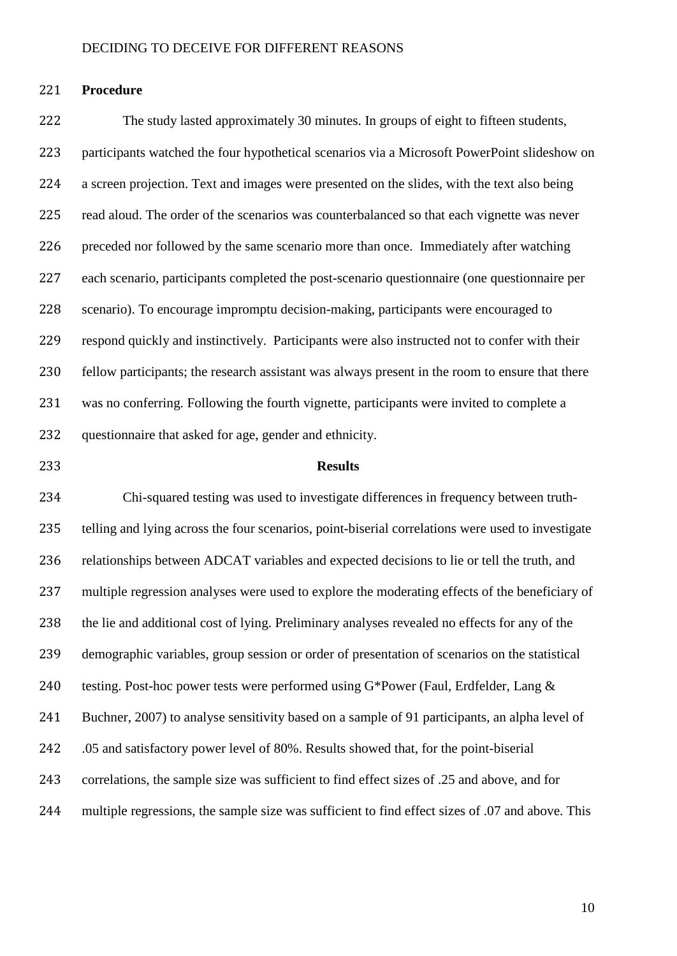#### **Procedure**

 The study lasted approximately 30 minutes. In groups of eight to fifteen students, participants watched the four hypothetical scenarios via a Microsoft PowerPoint slideshow on a screen projection. Text and images were presented on the slides, with the text also being read aloud. The order of the scenarios was counterbalanced so that each vignette was never preceded nor followed by the same scenario more than once. Immediately after watching each scenario, participants completed the post-scenario questionnaire (one questionnaire per scenario). To encourage impromptu decision-making, participants were encouraged to respond quickly and instinctively. Participants were also instructed not to confer with their fellow participants; the research assistant was always present in the room to ensure that there was no conferring. Following the fourth vignette, participants were invited to complete a questionnaire that asked for age, gender and ethnicity.

### **Results**

 Chi-squared testing was used to investigate differences in frequency between truth- telling and lying across the four scenarios, point-biserial correlations were used to investigate relationships between ADCAT variables and expected decisions to lie or tell the truth, and multiple regression analyses were used to explore the moderating effects of the beneficiary of the lie and additional cost of lying. Preliminary analyses revealed no effects for any of the demographic variables, group session or order of presentation of scenarios on the statistical 240 testing. Post-hoc power tests were performed using G\*Power (Faul, Erdfelder, Lang & Buchner, 2007) to analyse sensitivity based on a sample of 91 participants, an alpha level of .05 and satisfactory power level of 80%. Results showed that, for the point-biserial correlations, the sample size was sufficient to find effect sizes of .25 and above, and for multiple regressions, the sample size was sufficient to find effect sizes of .07 and above. This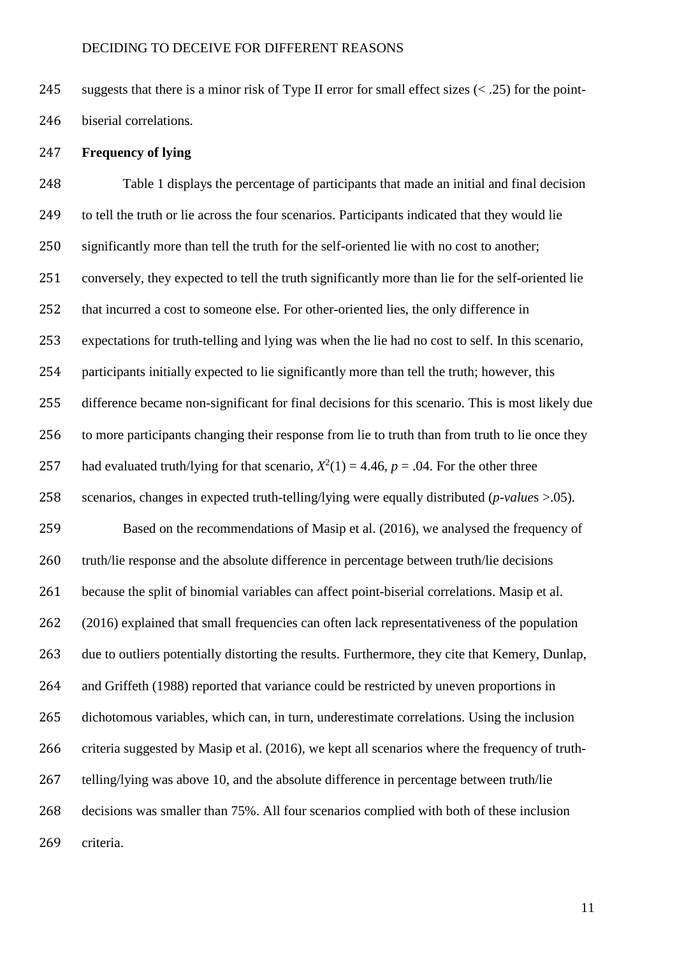suggests that there is a minor risk of Type II error for small effect sizes (< .25) for the point-

biserial correlations.

### **Frequency of lying**

 Table 1 displays the percentage of participants that made an initial and final decision 249 to tell the truth or lie across the four scenarios. Participants indicated that they would lie significantly more than tell the truth for the self-oriented lie with no cost to another; 251 conversely, they expected to tell the truth significantly more than lie for the self-oriented lie that incurred a cost to someone else. For other-oriented lies, the only difference in expectations for truth-telling and lying was when the lie had no cost to self. In this scenario, participants initially expected to lie significantly more than tell the truth; however, this difference became non-significant for final decisions for this scenario. This is most likely due to more participants changing their response from lie to truth than from truth to lie once they 257 had evaluated truth/lying for that scenario,  $X^2(1) = 4.46$ ,  $p = .04$ . For the other three scenarios, changes in expected truth-telling/lying were equally distributed (*p-value*s >.05). Based on the recommendations of Masip et al. (2016), we analysed the frequency of 260 truth/lie response and the absolute difference in percentage between truth/lie decisions because the split of binomial variables can affect point-biserial correlations. Masip et al. (2016) explained that small frequencies can often lack representativeness of the population due to outliers potentially distorting the results. Furthermore, they cite that Kemery, Dunlap, and Griffeth (1988) reported that variance could be restricted by uneven proportions in dichotomous variables, which can, in turn, underestimate correlations. Using the inclusion criteria suggested by Masip et al. (2016), we kept all scenarios where the frequency of truth- telling/lying was above 10, and the absolute difference in percentage between truth/lie decisions was smaller than 75%. All four scenarios complied with both of these inclusion criteria.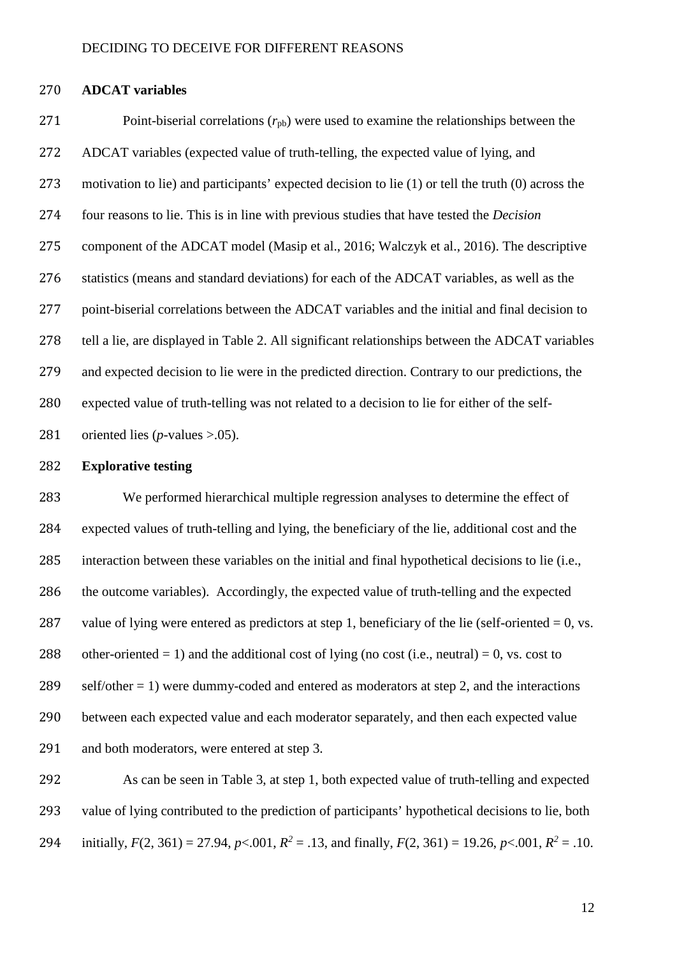#### **ADCAT variables**

271 Point-biserial correlations  $(r_{\text{pb}})$  were used to examine the relationships between the ADCAT variables (expected value of truth-telling, the expected value of lying, and motivation to lie) and participants' expected decision to lie (1) or tell the truth (0) across the four reasons to lie. This is in line with previous studies that have tested the *Decision* component of the ADCAT model (Masip et al., 2016; Walczyk et al., 2016). The descriptive statistics (means and standard deviations) for each of the ADCAT variables, as well as the point-biserial correlations between the ADCAT variables and the initial and final decision to tell a lie, are displayed in Table 2. All significant relationships between the ADCAT variables and expected decision to lie were in the predicted direction. Contrary to our predictions, the expected value of truth-telling was not related to a decision to lie for either of the self-oriented lies (*p*-values >.05).

#### **Explorative testing**

 We performed hierarchical multiple regression analyses to determine the effect of expected values of truth-telling and lying, the beneficiary of the lie, additional cost and the interaction between these variables on the initial and final hypothetical decisions to lie (i.e., the outcome variables). Accordingly, the expected value of truth-telling and the expected 287 value of lying were entered as predictors at step 1, beneficiary of the lie (self-oriented  $= 0$ , vs. 288 other-oriented = 1) and the additional cost of lying (no cost (i.e., neutral) = 0, vs. cost to 289 self/other  $= 1$ ) were dummy-coded and entered as moderators at step 2, and the interactions between each expected value and each moderator separately, and then each expected value and both moderators, were entered at step 3.

 As can be seen in Table 3, at step 1, both expected value of truth-telling and expected value of lying contributed to the prediction of participants' hypothetical decisions to lie, both 294 initially,  $F(2, 361) = 27.94$ ,  $p < .001$ ,  $R^2 = .13$ , and finally,  $F(2, 361) = 19.26$ ,  $p < .001$ ,  $R^2 = .10$ .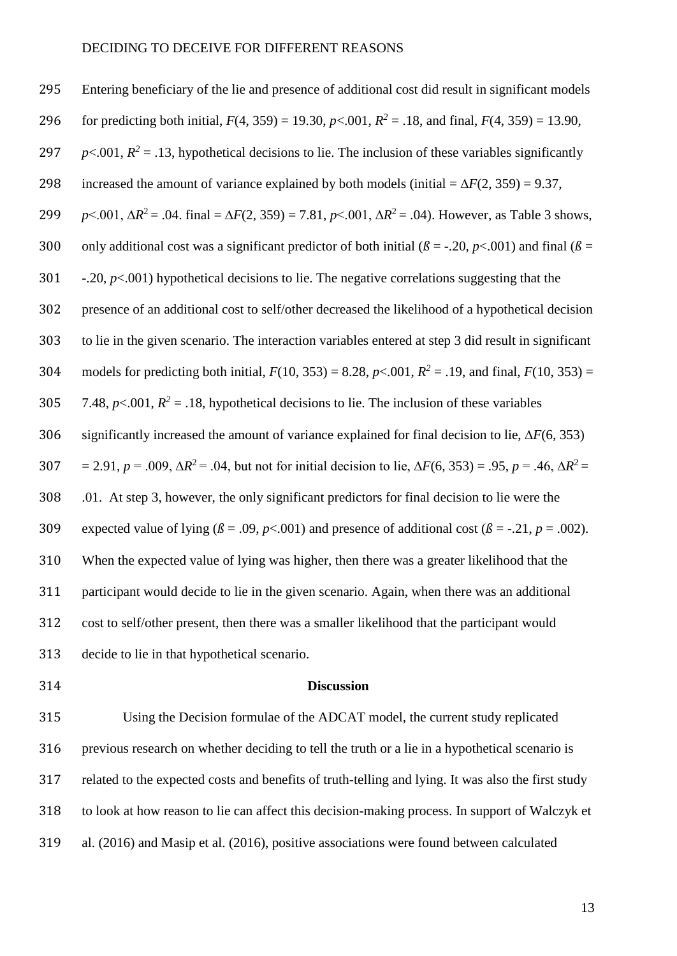Entering beneficiary of the lie and presence of additional cost did result in significant models for predicting both initial,  $F(4, 359) = 19.30$ ,  $p < .001$ ,  $R^2 = .18$ , and final,  $F(4, 359) = 13.90$ ,  $p<.001$ ,  $R^2 = .13$ , hypothetical decisions to lie. The inclusion of these variables significantly 298 increased the amount of variance explained by both models (initial  $=\Delta F(2, 359) = 9.37$ , *p* <.001,  $\Delta R^2$  = .04. final =  $\Delta F(2, 359)$  = 7.81, *p* <.001,  $\Delta R^2$  = .04). However, as Table 3 shows, 300 only additional cost was a significant predictor of both initial ( $\beta$  = -.20, *p*<.001) and final ( $\beta$  = -.20, *p*<.001) hypothetical decisions to lie. The negative correlations suggesting that the presence of an additional cost to self/other decreased the likelihood of a hypothetical decision to lie in the given scenario. The interaction variables entered at step 3 did result in significant 304 models for predicting both initial,  $F(10, 353) = 8.28$ ,  $p < .001$ ,  $R^2 = .19$ , and final,  $F(10, 353) =$  $\quad$  7.48, *p*<.001,  $R^2 = .18$ , hypothetical decisions to lie. The inclusion of these variables significantly increased the amount of variance explained for final decision to lie, ∆*F*(6, 353)  $= 2.91, p = .009, \Delta R^2 = .04$ , but not for initial decision to lie,  $\Delta F(6, 353) = .95, p = .46, \Delta R^2 = .009$  .01. At step 3, however, the only significant predictors for final decision to lie were the 309 expected value of lying  $(\beta = .09, p < .001)$  and presence of additional cost  $(\beta = .21, p = .002)$ . When the expected value of lying was higher, then there was a greater likelihood that the participant would decide to lie in the given scenario. Again, when there was an additional cost to self/other present, then there was a smaller likelihood that the participant would decide to lie in that hypothetical scenario.

#### **Discussion**

 Using the Decision formulae of the ADCAT model, the current study replicated previous research on whether deciding to tell the truth or a lie in a hypothetical scenario is related to the expected costs and benefits of truth-telling and lying. It was also the first study to look at how reason to lie can affect this decision-making process. In support of Walczyk et al. (2016) and Masip et al. (2016), positive associations were found between calculated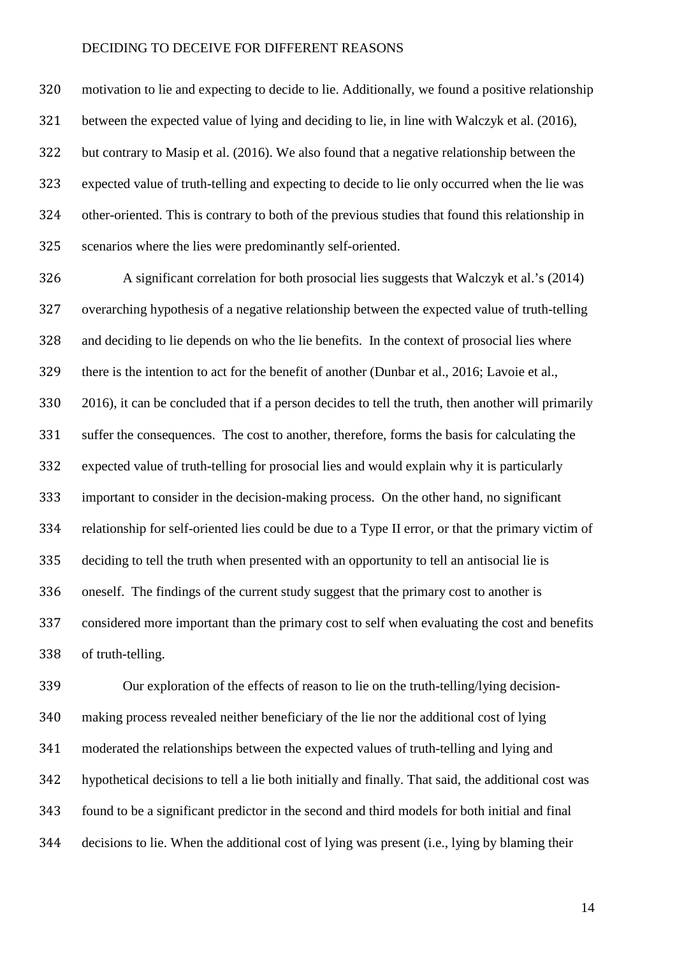motivation to lie and expecting to decide to lie. Additionally, we found a positive relationship between the expected value of lying and deciding to lie, in line with Walczyk et al. (2016), but contrary to Masip et al. (2016). We also found that a negative relationship between the expected value of truth-telling and expecting to decide to lie only occurred when the lie was other-oriented. This is contrary to both of the previous studies that found this relationship in scenarios where the lies were predominantly self-oriented.

 A significant correlation for both prosocial lies suggests that Walczyk et al.'s (2014) overarching hypothesis of a negative relationship between the expected value of truth-telling and deciding to lie depends on who the lie benefits. In the context of prosocial lies where there is the intention to act for the benefit of another (Dunbar et al., 2016; Lavoie et al., 2016), it can be concluded that if a person decides to tell the truth, then another will primarily suffer the consequences. The cost to another, therefore, forms the basis for calculating the expected value of truth-telling for prosocial lies and would explain why it is particularly important to consider in the decision-making process. On the other hand, no significant relationship for self-oriented lies could be due to a Type II error, or that the primary victim of deciding to tell the truth when presented with an opportunity to tell an antisocial lie is oneself. The findings of the current study suggest that the primary cost to another is considered more important than the primary cost to self when evaluating the cost and benefits of truth-telling.

 Our exploration of the effects of reason to lie on the truth-telling/lying decision- making process revealed neither beneficiary of the lie nor the additional cost of lying moderated the relationships between the expected values of truth-telling and lying and hypothetical decisions to tell a lie both initially and finally. That said, the additional cost was found to be a significant predictor in the second and third models for both initial and final decisions to lie. When the additional cost of lying was present (i.e., lying by blaming their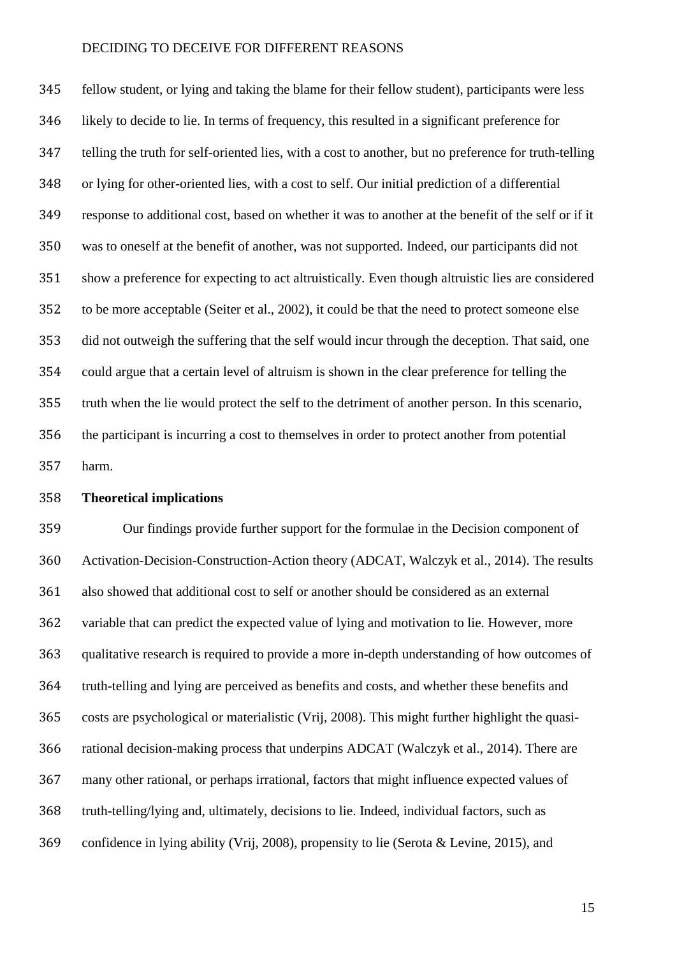fellow student, or lying and taking the blame for their fellow student), participants were less likely to decide to lie. In terms of frequency, this resulted in a significant preference for telling the truth for self-oriented lies, with a cost to another, but no preference for truth-telling or lying for other-oriented lies, with a cost to self. Our initial prediction of a differential response to additional cost, based on whether it was to another at the benefit of the self or if it was to oneself at the benefit of another, was not supported. Indeed, our participants did not show a preference for expecting to act altruistically. Even though altruistic lies are considered to be more acceptable (Seiter et al., 2002), it could be that the need to protect someone else did not outweigh the suffering that the self would incur through the deception. That said, one could argue that a certain level of altruism is shown in the clear preference for telling the truth when the lie would protect the self to the detriment of another person. In this scenario, the participant is incurring a cost to themselves in order to protect another from potential harm.

### **Theoretical implications**

 Our findings provide further support for the formulae in the Decision component of Activation-Decision-Construction-Action theory (ADCAT, Walczyk et al., 2014). The results also showed that additional cost to self or another should be considered as an external variable that can predict the expected value of lying and motivation to lie. However, more qualitative research is required to provide a more in-depth understanding of how outcomes of truth-telling and lying are perceived as benefits and costs, and whether these benefits and costs are psychological or materialistic (Vrij, 2008). This might further highlight the quasi- rational decision-making process that underpins ADCAT (Walczyk et al., 2014). There are many other rational, or perhaps irrational, factors that might influence expected values of truth-telling/lying and, ultimately, decisions to lie. Indeed, individual factors, such as confidence in lying ability (Vrij, 2008), propensity to lie (Serota & Levine, 2015), and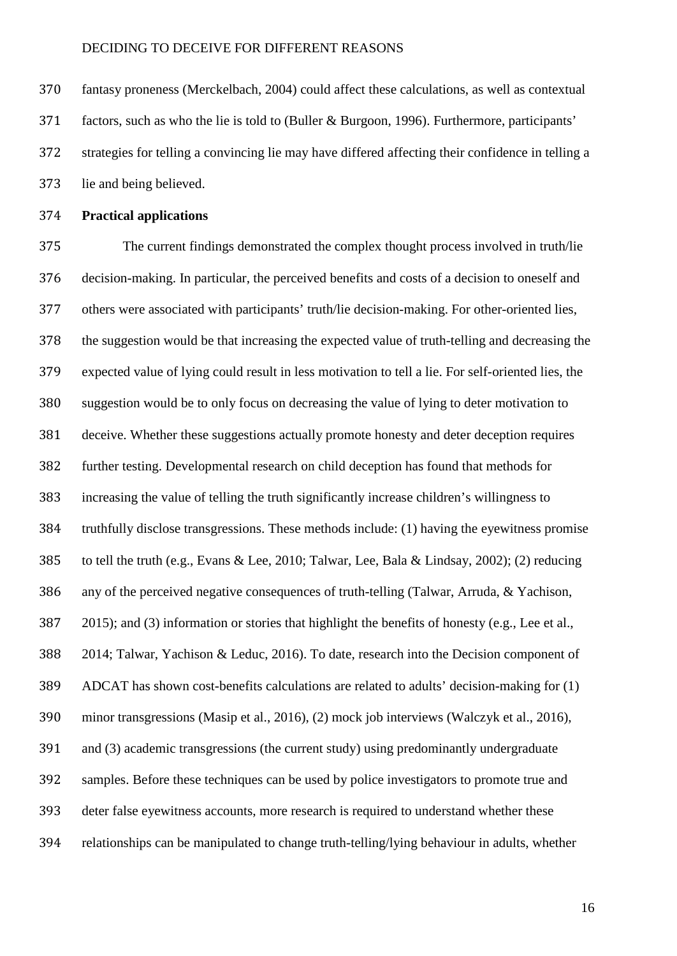fantasy proneness (Merckelbach, 2004) could affect these calculations, as well as contextual factors, such as who the lie is told to (Buller & Burgoon, 1996). Furthermore, participants' strategies for telling a convincing lie may have differed affecting their confidence in telling a lie and being believed.

### **Practical applications**

 The current findings demonstrated the complex thought process involved in truth/lie decision-making. In particular, the perceived benefits and costs of a decision to oneself and others were associated with participants' truth/lie decision-making. For other-oriented lies, the suggestion would be that increasing the expected value of truth-telling and decreasing the expected value of lying could result in less motivation to tell a lie. For self-oriented lies, the suggestion would be to only focus on decreasing the value of lying to deter motivation to deceive. Whether these suggestions actually promote honesty and deter deception requires further testing. Developmental research on child deception has found that methods for increasing the value of telling the truth significantly increase children's willingness to truthfully disclose transgressions. These methods include: (1) having the eyewitness promise to tell the truth (e.g., Evans & Lee, 2010; Talwar, Lee, Bala & Lindsay, 2002); (2) reducing any of the perceived negative consequences of truth-telling (Talwar, Arruda, & Yachison, 387 2015); and (3) information or stories that highlight the benefits of honesty (e.g., Lee et al., 2014; Talwar, Yachison & Leduc, 2016). To date, research into the Decision component of ADCAT has shown cost-benefits calculations are related to adults' decision-making for (1) minor transgressions (Masip et al., 2016), (2) mock job interviews (Walczyk et al., 2016), and (3) academic transgressions (the current study) using predominantly undergraduate samples. Before these techniques can be used by police investigators to promote true and deter false eyewitness accounts, more research is required to understand whether these relationships can be manipulated to change truth-telling/lying behaviour in adults, whether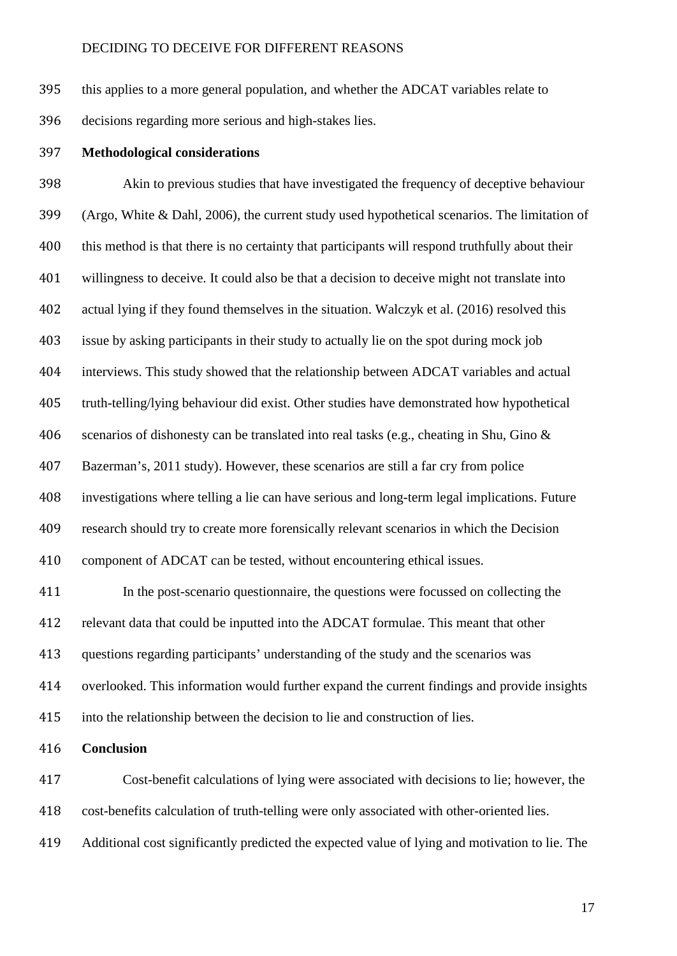this applies to a more general population, and whether the ADCAT variables relate to decisions regarding more serious and high-stakes lies.

#### **Methodological considerations**

 Akin to previous studies that have investigated the frequency of deceptive behaviour (Argo, White & Dahl, 2006), the current study used hypothetical scenarios. The limitation of 400 this method is that there is no certainty that participants will respond truthfully about their willingness to deceive. It could also be that a decision to deceive might not translate into actual lying if they found themselves in the situation. Walczyk et al. (2016) resolved this issue by asking participants in their study to actually lie on the spot during mock job interviews. This study showed that the relationship between ADCAT variables and actual truth-telling/lying behaviour did exist. Other studies have demonstrated how hypothetical scenarios of dishonesty can be translated into real tasks (e.g., cheating in Shu, Gino & Bazerman's, 2011 study). However, these scenarios are still a far cry from police investigations where telling a lie can have serious and long-term legal implications. Future research should try to create more forensically relevant scenarios in which the Decision component of ADCAT can be tested, without encountering ethical issues. In the post-scenario questionnaire, the questions were focussed on collecting the

 relevant data that could be inputted into the ADCAT formulae. This meant that other questions regarding participants' understanding of the study and the scenarios was overlooked. This information would further expand the current findings and provide insights

into the relationship between the decision to lie and construction of lies.

**Conclusion**

 Cost-benefit calculations of lying were associated with decisions to lie; however, the cost-benefits calculation of truth-telling were only associated with other-oriented lies.

Additional cost significantly predicted the expected value of lying and motivation to lie. The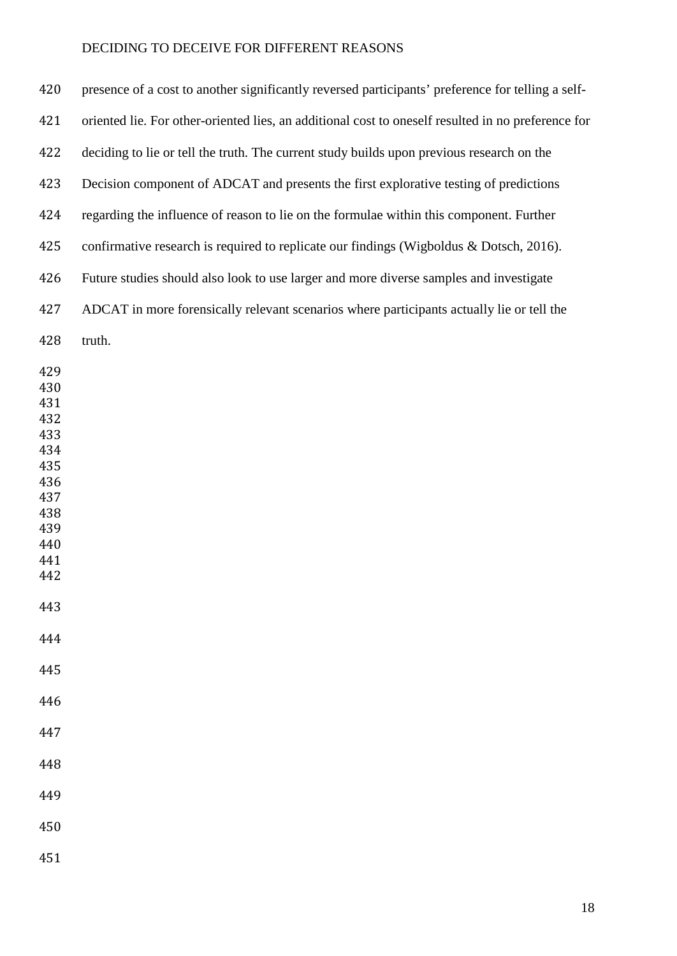| 420                                                                                                   | presence of a cost to another significantly reversed participants' preference for telling a self-  |
|-------------------------------------------------------------------------------------------------------|----------------------------------------------------------------------------------------------------|
| 421                                                                                                   | oriented lie. For other-oriented lies, an additional cost to oneself resulted in no preference for |
| 422                                                                                                   | deciding to lie or tell the truth. The current study builds upon previous research on the          |
| 423                                                                                                   | Decision component of ADCAT and presents the first explorative testing of predictions              |
| 424                                                                                                   | regarding the influence of reason to lie on the formulae within this component. Further            |
| 425                                                                                                   | confirmative research is required to replicate our findings (Wigboldus & Dotsch, 2016).            |
| 426                                                                                                   | Future studies should also look to use larger and more diverse samples and investigate             |
| 427                                                                                                   | ADCAT in more forensically relevant scenarios where participants actually lie or tell the          |
| 428                                                                                                   | truth.                                                                                             |
| 429<br>430<br>431<br>432<br>433<br>434<br>435<br>436<br>437<br>438<br>439<br>440<br>441<br>442<br>443 |                                                                                                    |
| 444                                                                                                   |                                                                                                    |
| 445<br>446                                                                                            |                                                                                                    |
| 447                                                                                                   |                                                                                                    |
| 448                                                                                                   |                                                                                                    |
| 449                                                                                                   |                                                                                                    |
| 450                                                                                                   |                                                                                                    |
|                                                                                                       |                                                                                                    |
| 451                                                                                                   |                                                                                                    |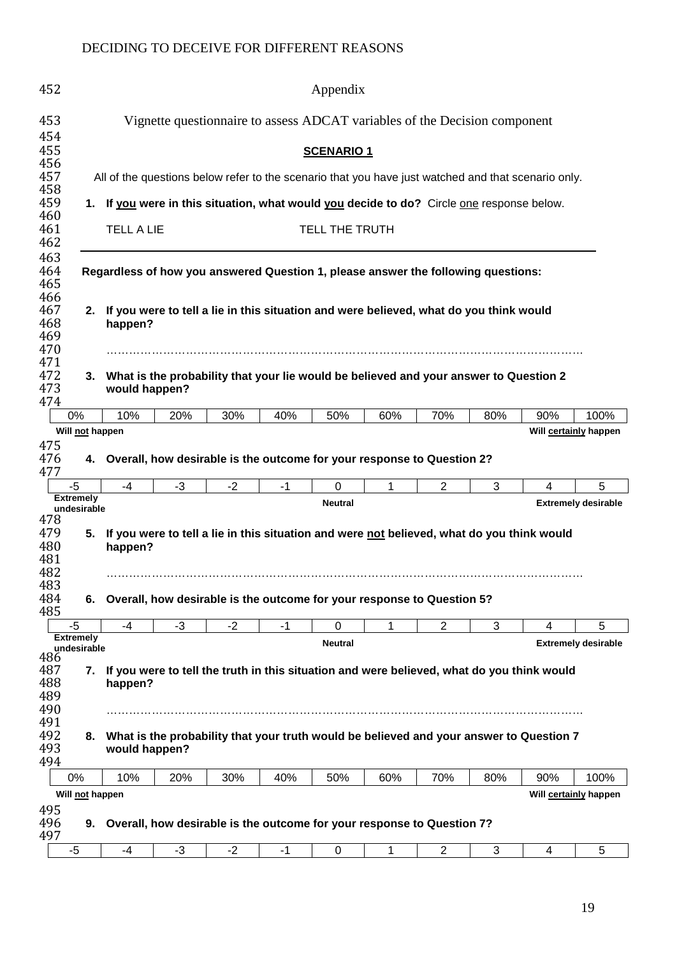| 452                             |                                                                                                                                                                                                | Appendix      |      |      |      |                                                                                                              |     |                |     |     |                            |  |
|---------------------------------|------------------------------------------------------------------------------------------------------------------------------------------------------------------------------------------------|---------------|------|------|------|--------------------------------------------------------------------------------------------------------------|-----|----------------|-----|-----|----------------------------|--|
| 453<br>454                      |                                                                                                                                                                                                |               |      |      |      | Vignette questionnaire to assess ADCAT variables of the Decision component                                   |     |                |     |     |                            |  |
| 455                             |                                                                                                                                                                                                |               |      |      |      | <b>SCENARIO 1</b>                                                                                            |     |                |     |     |                            |  |
| 456<br>457                      |                                                                                                                                                                                                |               |      |      |      | All of the questions below refer to the scenario that you have just watched and that scenario only.          |     |                |     |     |                            |  |
| 458<br>459                      | 1. If you were in this situation, what would you decide to do? Circle one response below.                                                                                                      |               |      |      |      |                                                                                                              |     |                |     |     |                            |  |
| 460<br>461                      |                                                                                                                                                                                                |               |      |      |      |                                                                                                              |     |                |     |     |                            |  |
| 462                             | <b>TELL A LIE</b><br>TELL THE TRUTH                                                                                                                                                            |               |      |      |      |                                                                                                              |     |                |     |     |                            |  |
| 463<br>464<br>465               | Regardless of how you answered Question 1, please answer the following questions:                                                                                                              |               |      |      |      |                                                                                                              |     |                |     |     |                            |  |
| 466<br>467<br>468<br>469        | If you were to tell a lie in this situation and were believed, what do you think would<br>2.<br>happen?                                                                                        |               |      |      |      |                                                                                                              |     |                |     |     |                            |  |
| 470<br>471<br>472<br>473<br>474 | 3.                                                                                                                                                                                             | would happen? |      |      |      | What is the probability that your lie would be believed and your answer to Question 2                        |     |                |     |     |                            |  |
|                                 | 0%                                                                                                                                                                                             | 10%           | 20%  | 30%  | 40%  | 50%                                                                                                          | 60% | 70%            | 80% | 90% | 100%                       |  |
|                                 | Will not happen                                                                                                                                                                                |               |      |      |      |                                                                                                              |     |                |     |     | Will certainly happen      |  |
| 475<br>476<br>477               |                                                                                                                                                                                                |               |      |      |      | 4. Overall, how desirable is the outcome for your response to Question 2?                                    |     |                |     |     |                            |  |
|                                 | $-5$<br><b>Extremely</b>                                                                                                                                                                       | $-4$          | $-3$ | $-2$ | $-1$ | $\mathbf 0$                                                                                                  | 1   | $\overline{2}$ | 3   | 4   | 5                          |  |
| 478<br>479<br>480<br>481<br>482 | undesirable<br>5.                                                                                                                                                                              | happen?       |      |      |      | <b>Neutral</b><br>If you were to tell a lie in this situation and were not believed, what do you think would |     |                |     |     | <b>Extremely desirable</b> |  |
| 483<br>484<br>485               | 6.                                                                                                                                                                                             |               |      |      |      | Overall, how desirable is the outcome for your response to Question 5?                                       |     |                |     |     |                            |  |
|                                 | $-5$                                                                                                                                                                                           | -4            | $-3$ | $-2$ | $-1$ | 0                                                                                                            | 1   | $\overline{2}$ | 3   | 4   | 5                          |  |
| 486<br>487<br>488<br>489        | <b>Extremely</b><br><b>Neutral</b><br><b>Extremely desirable</b><br>undesirable<br>If you were to tell the truth in this situation and were believed, what do you think would<br>7.<br>happen? |               |      |      |      |                                                                                                              |     |                |     |     |                            |  |
| 490<br>491<br>492<br>493<br>494 | 8.                                                                                                                                                                                             | would happen? |      |      |      | What is the probability that your truth would be believed and your answer to Question 7                      |     |                |     |     |                            |  |
|                                 | 0%                                                                                                                                                                                             | 10%           | 20%  | 30%  | 40%  | 50%                                                                                                          | 60% | 70%            | 80% | 90% | 100%                       |  |
| 495                             | Will not happen                                                                                                                                                                                |               |      |      |      |                                                                                                              |     |                |     |     | Will certainly happen      |  |
| 496<br>497                      | 9.                                                                                                                                                                                             |               |      |      |      | Overall, how desirable is the outcome for your response to Question 7?                                       |     |                |     |     |                            |  |
|                                 | -5                                                                                                                                                                                             | -4            | $-3$ | $-2$ | -1   | 0                                                                                                            | 1   | $\overline{c}$ | 3   | 4   | 5                          |  |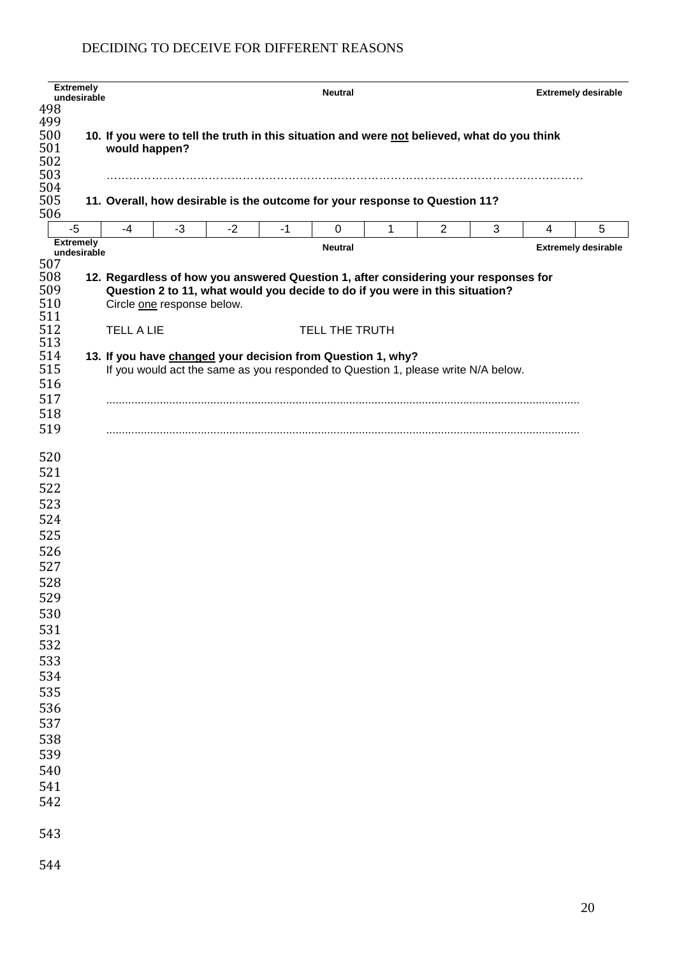|            | <b>Extremely</b><br>undesirable |                   |                                                             |      |      | <b>Neutral</b> |   |                                                                                              |   |   | <b>Extremely desirable</b> |  |  |
|------------|---------------------------------|-------------------|-------------------------------------------------------------|------|------|----------------|---|----------------------------------------------------------------------------------------------|---|---|----------------------------|--|--|
| 498        |                                 |                   |                                                             |      |      |                |   |                                                                                              |   |   |                            |  |  |
| 499        |                                 |                   |                                                             |      |      |                |   |                                                                                              |   |   |                            |  |  |
| 500        |                                 |                   |                                                             |      |      |                |   | 10. If you were to tell the truth in this situation and were not believed, what do you think |   |   |                            |  |  |
| 501        |                                 |                   | would happen?                                               |      |      |                |   |                                                                                              |   |   |                            |  |  |
| 502        |                                 |                   |                                                             |      |      |                |   |                                                                                              |   |   |                            |  |  |
| 503        |                                 |                   |                                                             |      |      |                |   |                                                                                              |   |   |                            |  |  |
| 504        |                                 |                   |                                                             |      |      |                |   |                                                                                              |   |   |                            |  |  |
| 505        |                                 |                   |                                                             |      |      |                |   | 11. Overall, how desirable is the outcome for your response to Question 11?                  |   |   |                            |  |  |
| 506        |                                 |                   |                                                             |      |      |                |   |                                                                                              |   |   |                            |  |  |
| $-5$       | <b>Extremely</b>                | $-4$              | $-3$                                                        | $-2$ | $-1$ | 0              | 1 | $\overline{2}$                                                                               | 3 | 4 | 5                          |  |  |
|            | undesirable                     |                   |                                                             |      |      | <b>Neutral</b> |   |                                                                                              |   |   | <b>Extremely desirable</b> |  |  |
| 507        |                                 |                   |                                                             |      |      |                |   |                                                                                              |   |   |                            |  |  |
| 508        |                                 |                   |                                                             |      |      |                |   | 12. Regardless of how you answered Question 1, after considering your responses for          |   |   |                            |  |  |
| 509        |                                 |                   |                                                             |      |      |                |   | Question 2 to 11, what would you decide to do if you were in this situation?                 |   |   |                            |  |  |
| 510        |                                 |                   | Circle one response below.                                  |      |      |                |   |                                                                                              |   |   |                            |  |  |
| 511        |                                 |                   |                                                             |      |      |                |   |                                                                                              |   |   |                            |  |  |
| 512        |                                 | <b>TELL A LIE</b> |                                                             |      |      | TELL THE TRUTH |   |                                                                                              |   |   |                            |  |  |
| 513        |                                 |                   |                                                             |      |      |                |   |                                                                                              |   |   |                            |  |  |
| 514<br>515 |                                 |                   | 13. If you have changed your decision from Question 1, why? |      |      |                |   |                                                                                              |   |   |                            |  |  |
|            |                                 |                   |                                                             |      |      |                |   | If you would act the same as you responded to Question 1, please write N/A below.            |   |   |                            |  |  |
| 516        |                                 |                   |                                                             |      |      |                |   |                                                                                              |   |   |                            |  |  |
| 517        |                                 |                   |                                                             |      |      |                |   |                                                                                              |   |   |                            |  |  |
| 518        |                                 |                   |                                                             |      |      |                |   |                                                                                              |   |   |                            |  |  |
| 519        |                                 |                   |                                                             |      |      |                |   |                                                                                              |   |   |                            |  |  |
|            |                                 |                   |                                                             |      |      |                |   |                                                                                              |   |   |                            |  |  |
| 520        |                                 |                   |                                                             |      |      |                |   |                                                                                              |   |   |                            |  |  |
| 521        |                                 |                   |                                                             |      |      |                |   |                                                                                              |   |   |                            |  |  |
| 522        |                                 |                   |                                                             |      |      |                |   |                                                                                              |   |   |                            |  |  |
| 523        |                                 |                   |                                                             |      |      |                |   |                                                                                              |   |   |                            |  |  |
| 524        |                                 |                   |                                                             |      |      |                |   |                                                                                              |   |   |                            |  |  |
| 525        |                                 |                   |                                                             |      |      |                |   |                                                                                              |   |   |                            |  |  |
| 526        |                                 |                   |                                                             |      |      |                |   |                                                                                              |   |   |                            |  |  |
| 527        |                                 |                   |                                                             |      |      |                |   |                                                                                              |   |   |                            |  |  |
| 528        |                                 |                   |                                                             |      |      |                |   |                                                                                              |   |   |                            |  |  |
| 529        |                                 |                   |                                                             |      |      |                |   |                                                                                              |   |   |                            |  |  |
| 530        |                                 |                   |                                                             |      |      |                |   |                                                                                              |   |   |                            |  |  |
|            |                                 |                   |                                                             |      |      |                |   |                                                                                              |   |   |                            |  |  |
| 531        |                                 |                   |                                                             |      |      |                |   |                                                                                              |   |   |                            |  |  |
| 532        |                                 |                   |                                                             |      |      |                |   |                                                                                              |   |   |                            |  |  |
| 533        |                                 |                   |                                                             |      |      |                |   |                                                                                              |   |   |                            |  |  |
| 534        |                                 |                   |                                                             |      |      |                |   |                                                                                              |   |   |                            |  |  |
| 535        |                                 |                   |                                                             |      |      |                |   |                                                                                              |   |   |                            |  |  |
| 536        |                                 |                   |                                                             |      |      |                |   |                                                                                              |   |   |                            |  |  |
| 537        |                                 |                   |                                                             |      |      |                |   |                                                                                              |   |   |                            |  |  |
| 538        |                                 |                   |                                                             |      |      |                |   |                                                                                              |   |   |                            |  |  |
| 539        |                                 |                   |                                                             |      |      |                |   |                                                                                              |   |   |                            |  |  |
| 540        |                                 |                   |                                                             |      |      |                |   |                                                                                              |   |   |                            |  |  |
| 541        |                                 |                   |                                                             |      |      |                |   |                                                                                              |   |   |                            |  |  |
| 542        |                                 |                   |                                                             |      |      |                |   |                                                                                              |   |   |                            |  |  |
|            |                                 |                   |                                                             |      |      |                |   |                                                                                              |   |   |                            |  |  |
|            |                                 |                   |                                                             |      |      |                |   |                                                                                              |   |   |                            |  |  |
| 543        |                                 |                   |                                                             |      |      |                |   |                                                                                              |   |   |                            |  |  |
|            |                                 |                   |                                                             |      |      |                |   |                                                                                              |   |   |                            |  |  |
| 544        |                                 |                   |                                                             |      |      |                |   |                                                                                              |   |   |                            |  |  |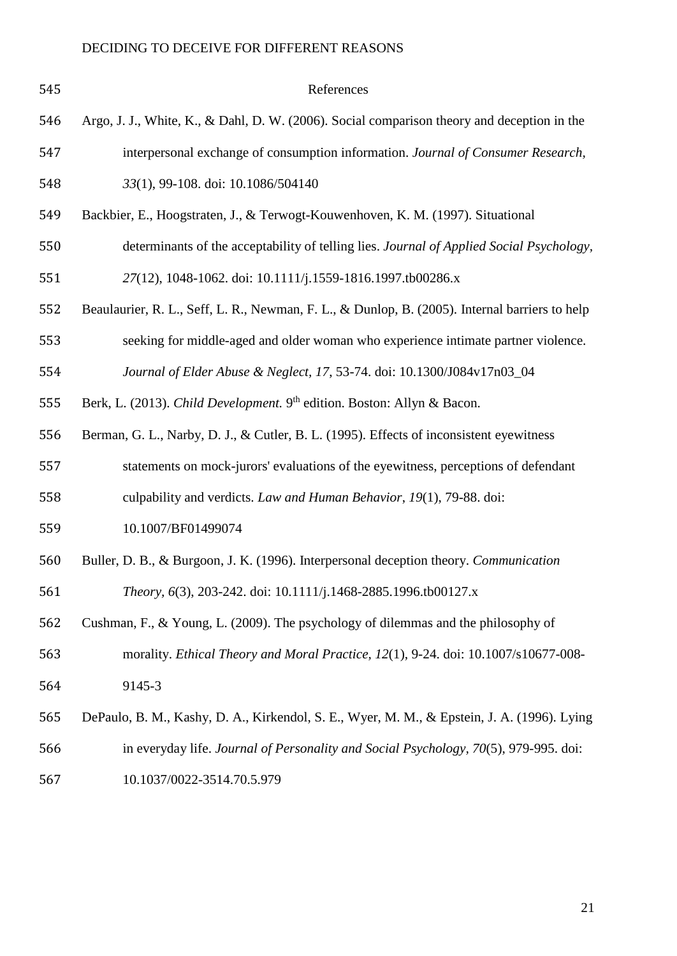| 545 | References                                                                                     |
|-----|------------------------------------------------------------------------------------------------|
| 546 | Argo, J. J., White, K., & Dahl, D. W. (2006). Social comparison theory and deception in the    |
| 547 | interpersonal exchange of consumption information. Journal of Consumer Research,               |
| 548 | 33(1), 99-108. doi: 10.1086/504140                                                             |
| 549 | Backbier, E., Hoogstraten, J., & Terwogt-Kouwenhoven, K. M. (1997). Situational                |
| 550 | determinants of the acceptability of telling lies. Journal of Applied Social Psychology,       |
| 551 | 27(12), 1048-1062. doi: 10.1111/j.1559-1816.1997.tb00286.x                                     |
| 552 | Beaulaurier, R. L., Seff, L. R., Newman, F. L., & Dunlop, B. (2005). Internal barriers to help |
| 553 | seeking for middle-aged and older woman who experience intimate partner violence.              |
| 554 | Journal of Elder Abuse & Neglect, 17, 53-74. doi: 10.1300/J084v17n03_04                        |
| 555 | Berk, L. (2013). Child Development. 9 <sup>th</sup> edition. Boston: Allyn & Bacon.            |
| 556 | Berman, G. L., Narby, D. J., & Cutler, B. L. (1995). Effects of inconsistent eyewitness        |
| 557 | statements on mock-jurors' evaluations of the eyewitness, perceptions of defendant             |
| 558 | culpability and verdicts. Law and Human Behavior, 19(1), 79-88. doi:                           |
| 559 | 10.1007/BF01499074                                                                             |
| 560 | Buller, D. B., & Burgoon, J. K. (1996). Interpersonal deception theory. Communication          |
| 561 | Theory, 6(3), 203-242. doi: 10.1111/j.1468-2885.1996.tb00127.x                                 |
| 562 | Cushman, F., & Young, L. (2009). The psychology of dilemmas and the philosophy of              |
| 563 | morality. Ethical Theory and Moral Practice, 12(1), 9-24. doi: 10.1007/s10677-008-             |
| 564 | 9145-3                                                                                         |
| 565 | DePaulo, B. M., Kashy, D. A., Kirkendol, S. E., Wyer, M. M., & Epstein, J. A. (1996). Lying    |
| 566 | in everyday life. Journal of Personality and Social Psychology, 70(5), 979-995. doi:           |
| 567 | 10.1037/0022-3514.70.5.979                                                                     |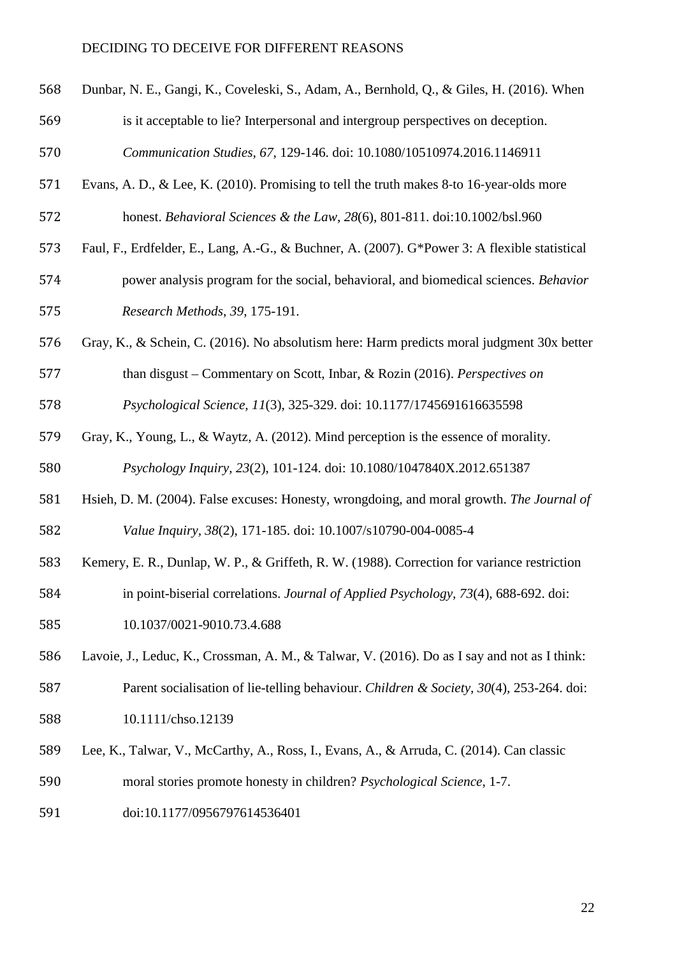| 568 | Dunbar, N. E., Gangi, K., Coveleski, S., Adam, A., Bernhold, Q., & Giles, H. (2016). When |
|-----|-------------------------------------------------------------------------------------------|
| 569 | is it acceptable to lie? Interpersonal and intergroup perspectives on deception.          |
| 570 | Communication Studies, 67, 129-146. doi: 10.1080/10510974.2016.1146911                    |

- 571 Evans, A. D., & Lee, K. (2010). Promising to tell the truth makes 8-to 16-year-olds more honest. *Behavioral Sciences & the Law*, *28*(6), 801-811. doi:10.1002/bsl.960
- Faul, F., Erdfelder, E., Lang, A.-G., & Buchner, A. (2007). G\*Power 3: A flexible statistical
- power analysis program for the social, behavioral, and biomedical sciences. *Behavior Research Methods*, *39*, 175-191.
- Gray, K., & Schein, C. (2016). No absolutism here: Harm predicts moral judgment 30x better
- *Psychological Science, 11*(3), 325-329. doi: 10.1177/1745691616635598
- Gray, K., Young, L., & Waytz, A. (2012). Mind perception is the essence of morality.

than disgust – Commentary on Scott, Inbar, & Rozin (2016). *Perspectives on* 

*Psychology Inquiry, 23*(2), 101-124. doi: 10.1080/1047840X.2012.651387

- Hsieh, D. M. (2004). False excuses: Honesty, wrongdoing, and moral growth. *The Journal of Value Inquiry, 38*(2), 171-185. doi: 10.1007/s10790-004-0085-4
- Kemery, E. R., Dunlap, W. P., & Griffeth, R. W. (1988). Correction for variance restriction
- in point-biserial correlations. *Journal of Applied Psychology, 73*(4), 688-692. doi:
- 10.1037/0021-9010.73.4.688
- Lavoie, J., Leduc, K., Crossman, A. M., & Talwar, V. (2016). Do as I say and not as I think: Parent socialisation of lie-telling behaviour. *Children & Society, 30*(4), 253-264. doi:
- 10.1111/chso.12139
- Lee, K., Talwar, V., McCarthy, A., Ross, I., Evans, A., & Arruda, C. (2014). Can classic
- moral stories promote honesty in children? *Psychological Science*, 1-7.
- doi:10.1177/0956797614536401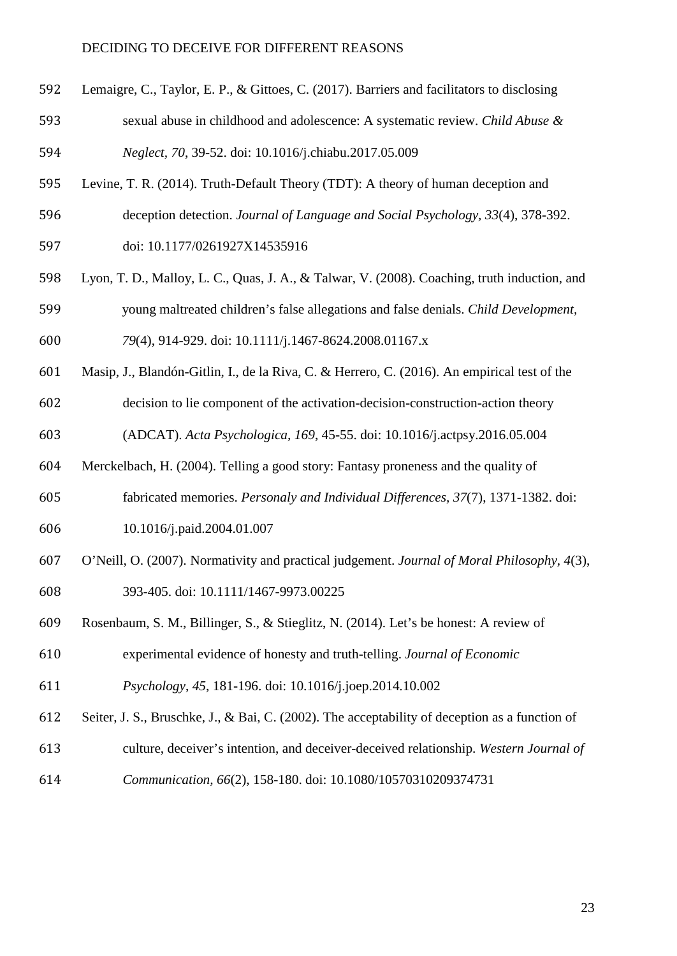- Lemaigre, C., Taylor, E. P., & Gittoes, C. (2017). Barriers and facilitators to disclosing
- sexual abuse in childhood and adolescence: A systematic review. *Child Abuse & Neglect, 70*, 39-52. doi: 10.1016/j.chiabu.2017.05.009
- 
- Levine, T. R. (2014). Truth-Default Theory (TDT): A theory of human deception and
- deception detection. *Journal of Language and Social Psychology, 33*(4), 378-392.
- doi: 10.1177/0261927X14535916
- Lyon, T. D., Malloy, L. C., Quas, J. A., & Talwar, V. (2008). Coaching, truth induction, and young maltreated children's false allegations and false denials. *Child Development,*
- *79*(4), 914-929. doi: 10.1111/j.1467-8624.2008.01167.x
- Masip, J., Blandón-Gitlin, I., de la Riva, C. & Herrero, C. (2016). An empirical test of the
- decision to lie component of the activation-decision-construction-action theory
- (ADCAT). *Acta Psychologica, 169*, 45-55. doi: 10.1016/j.actpsy.2016.05.004
- Merckelbach, H. (2004). Telling a good story: Fantasy proneness and the quality of
- fabricated memories. *Personaly and Individual Differences, 37*(7), 1371-1382. doi:
- 10.1016/j.paid.2004.01.007
- O'Neill, O. (2007). Normativity and practical judgement. *Journal of Moral Philosophy, 4*(3), 393-405. doi: 10.1111/1467-9973.00225
- Rosenbaum, S. M., Billinger, S., & Stieglitz, N. (2014). Let's be honest: A review of
- experimental evidence of honesty and truth-telling. *Journal of Economic*
- *Psychology*, *45*, 181-196. doi: 10.1016/j.joep.2014.10.002
- Seiter, J. S., Bruschke, J., & Bai, C. (2002). The acceptability of deception as a function of
- culture, deceiver's intention, and deceiver-deceived relationship. *Western Journal of*
- *Communication, 66*(2), 158-180. doi: 10.1080/10570310209374731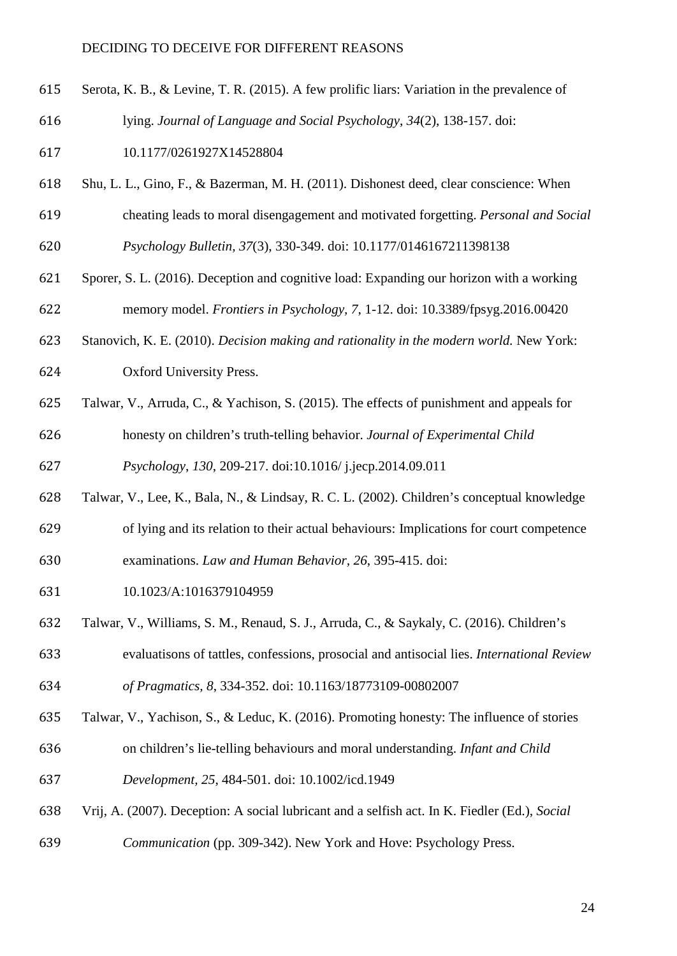- Serota, K. B., & Levine, T. R. (2015). A few prolific liars: Variation in the prevalence of
- lying. *Journal of Language and Social Psychology*, *34*(2), 138-157. doi:

10.1177/0261927X14528804

- Shu, L. L., Gino, F., & Bazerman, M. H. (2011). Dishonest deed, clear conscience: When
- cheating leads to moral disengagement and motivated forgetting. *Personal and Social*
- *Psychology Bulletin, 37*(3), 330-349. doi: 10.1177/0146167211398138
- Sporer, S. L. (2016). Deception and cognitive load: Expanding our horizon with a working memory model. *Frontiers in Psychology, 7*, 1-12. doi: 10.3389/fpsyg.2016.00420
- Stanovich, K. E. (2010). *Decision making and rationality in the modern world.* New York:

Oxford University Press.

- Talwar, V., Arruda, C., & Yachison, S. (2015). The effects of punishment and appeals for
- honesty on children's truth-telling behavior. *Journal of Experimental Child*

*Psychology*, *130*, 209-217. doi:10.1016/ j.jecp.2014.09.011

- Talwar, V., Lee, K., Bala, N., & Lindsay, R. C. L. (2002). Children's conceptual knowledge
- of lying and its relation to their actual behaviours: Implications for court competence examinations. *Law and Human Behavior, 26*, 395-415. doi:
- 10.1023/A:1016379104959
- Talwar, V., Williams, S. M., Renaud, S. J., Arruda, C., & Saykaly, C. (2016). Children's

 evaluatisons of tattles, confessions, prosocial and antisocial lies. *International Review of Pragmatics, 8*, 334-352. doi: 10.1163/18773109-00802007

- Talwar, V., Yachison, S., & Leduc, K. (2016). Promoting honesty: The influence of stories
- on children's lie-telling behaviours and moral understanding. *Infant and Child*
- *Development, 25*, 484-501. doi: 10.1002/icd.1949
- Vrij, A. (2007). Deception: A social lubricant and a selfish act. In K. Fiedler (Ed.), *Social*
- *Communication* (pp. 309-342). New York and Hove: Psychology Press.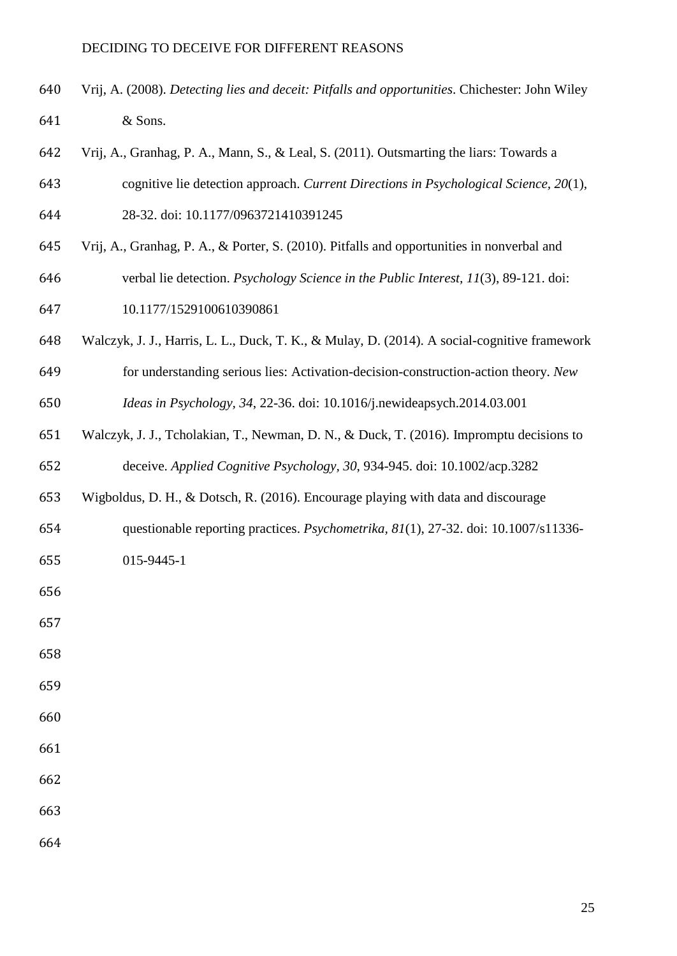- Vrij, A. (2008). *Detecting lies and deceit: Pitfalls and opportunities*. Chichester: John Wiley & Sons.
- Vrij, A., Granhag, P. A., Mann, S., & Leal, S. (2011). Outsmarting the liars: Towards a
- cognitive lie detection approach. *Current Directions in Psychological Science, 20*(1), 28-32. doi: 10.1177/0963721410391245
- Vrij, A., Granhag, P. A., & Porter, S. (2010). Pitfalls and opportunities in nonverbal and
- verbal lie detection. *Psychology Science in the Public Interest, 11*(3), 89-121. doi:
- 10.1177/1529100610390861
- Walczyk, J. J., Harris, L. L., Duck, T. K., & Mulay, D. (2014). A social-cognitive framework
- for understanding serious lies: Activation-decision-construction-action theory. *New Ideas in Psychology, 34*, 22-36. doi: 10.1016/j.newideapsych.2014.03.001
- Walczyk, J. J., Tcholakian, T., Newman, D. N., & Duck, T. (2016). Impromptu decisions to deceive. *Applied Cognitive Psychology, 30*, 934-945. doi: 10.1002/acp.3282
- Wigboldus, D. H., & Dotsch, R. (2016). Encourage playing with data and discourage
- questionable reporting practices. *Psychometrika, 81*(1), 27-32. doi: 10.1007/s11336-
- 015-9445-1
- 
- 
- 
- 
- 
- 
- 

- 
-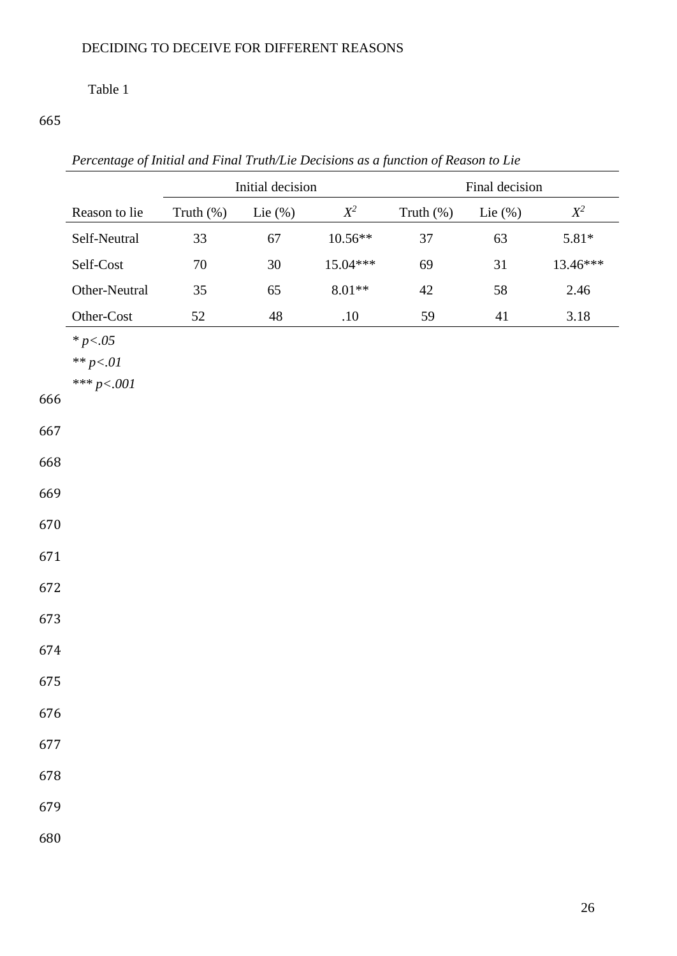# Table 1

*Percentage of Initial and Final Truth/Lie Decisions as a function of Reason to Lie*

|     |                                             | Initial decision |             |                   |              | Final decision |          |  |  |
|-----|---------------------------------------------|------------------|-------------|-------------------|--------------|----------------|----------|--|--|
|     | Reason to lie                               | Truth (%)        | Lie $(\%)$  | $\mathbb{X}^2$    | Truth $(\%)$ | Lie $(\%)$     | $X^2$    |  |  |
|     | Self-Neutral                                | 33               | 67          | $10.56**$         | 37           | 63             | $5.81*$  |  |  |
|     | Self-Cost                                   | $70\,$           | $30\,$      | 15.04***          | 69           | 31             | 13.46*** |  |  |
|     | Other-Neutral                               | 35               | 65          | $8.01^{\ast\ast}$ | $42\,$       | $58\,$         | 2.46     |  |  |
|     | Other-Cost                                  | 52               | $\sqrt{48}$ | $.10\,$           | 59           | 41             | 3.18     |  |  |
|     | * $p < .05$<br>** $p<.01$<br>*** $p < .001$ |                  |             |                   |              |                |          |  |  |
| 666 |                                             |                  |             |                   |              |                |          |  |  |
| 667 |                                             |                  |             |                   |              |                |          |  |  |
| 668 |                                             |                  |             |                   |              |                |          |  |  |
| 669 |                                             |                  |             |                   |              |                |          |  |  |
| 670 |                                             |                  |             |                   |              |                |          |  |  |
| 671 |                                             |                  |             |                   |              |                |          |  |  |
| 672 |                                             |                  |             |                   |              |                |          |  |  |
| 673 |                                             |                  |             |                   |              |                |          |  |  |
| 674 |                                             |                  |             |                   |              |                |          |  |  |
| 675 |                                             |                  |             |                   |              |                |          |  |  |
| 676 |                                             |                  |             |                   |              |                |          |  |  |
| 677 |                                             |                  |             |                   |              |                |          |  |  |
| 678 |                                             |                  |             |                   |              |                |          |  |  |
| 679 |                                             |                  |             |                   |              |                |          |  |  |
| 680 |                                             |                  |             |                   |              |                |          |  |  |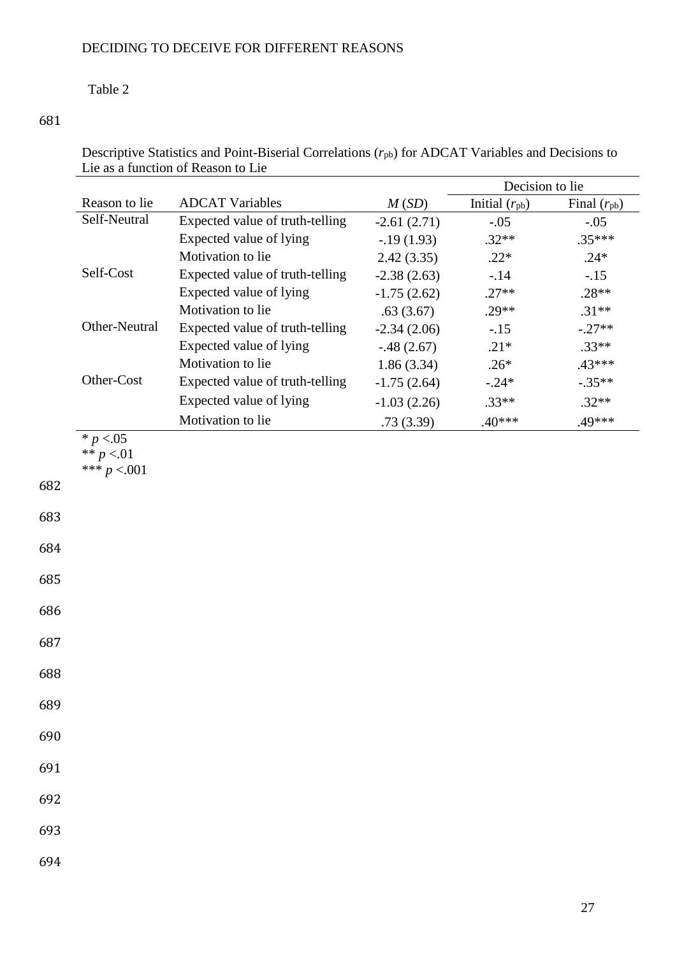### Table 2

| Descriptive Statistics and Point-Biserial Correlations $(r_{pb})$ for ADCAT Variables and Decisions to |  |
|--------------------------------------------------------------------------------------------------------|--|
| Lie as a function of Reason to Lie                                                                     |  |

|                              |                                 |               | Decision to lie    |                  |
|------------------------------|---------------------------------|---------------|--------------------|------------------|
| Reason to lie                | <b>ADCAT Variables</b>          | M(SD)         | Initial $(r_{pb})$ | Final $(r_{pb})$ |
| Self-Neutral                 | Expected value of truth-telling | $-2.61(2.71)$ | $-.05$             | $-.05$           |
|                              | Expected value of lying         | $-0.19(1.93)$ | $.32**$            | $.35***$         |
|                              | Motivation to lie               | 2.42(3.35)    | $.22*$             | $.24*$           |
| Self-Cost                    | Expected value of truth-telling | $-2.38(2.63)$ | $-.14$             | $-.15$           |
|                              | Expected value of lying         | $-1.75(2.62)$ | $.27**$            | $.28**$          |
|                              | Motivation to lie               | .63(3.67)     | $.29**$            | $.31**$          |
| Other-Neutral                | Expected value of truth-telling | $-2.34(2.06)$ | $-.15$             | $-.27**$         |
|                              | Expected value of lying         | $-.48(2.67)$  | $.21*$             | $.33**$          |
|                              | Motivation to lie               | 1.86(3.34)    | $.26*$             | .43***           |
| Other-Cost                   | Expected value of truth-telling | $-1.75(2.64)$ | $-.24*$            | $-.35**$         |
|                              | Expected value of lying         | $-1.03(2.26)$ | $.33**$            | $.32**$          |
|                              | Motivation to lie               | .73(3.39)     | $.40***$           | .49***           |
| ** $p < 01$<br>*** $p < 001$ |                                 |               |                    |                  |
|                              |                                 |               |                    |                  |
|                              |                                 |               |                    |                  |
|                              |                                 |               |                    |                  |
|                              |                                 |               |                    |                  |
|                              |                                 |               |                    |                  |
|                              |                                 |               |                    |                  |
|                              |                                 |               |                    |                  |
|                              |                                 |               |                    |                  |
|                              |                                 |               |                    |                  |
|                              |                                 |               |                    |                  |
|                              |                                 |               |                    |                  |
|                              |                                 |               |                    |                  |
|                              |                                 |               |                    |                  |